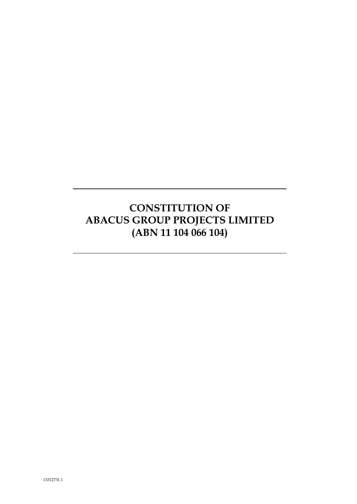# **CONSTITUTION OF ABACUS GROUP PROJECTS LIMITED (ABN 11 104 066 104)**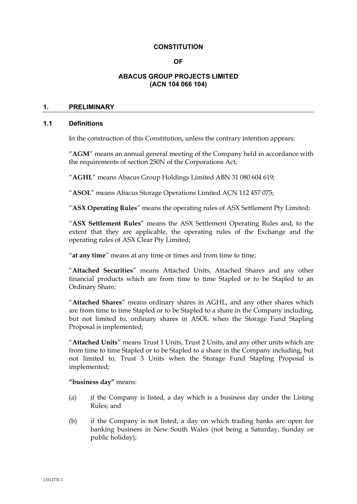## **CONSTITUTION**

## **OF**

## **ABACUS GROUP PROJECTS LIMITED (ACN 104 066 104)**

# **1. PRELIMINARY**

# **1.1 Definitions**

In the construction of this Constitution, unless the contrary intention appears:

"**AGM**" means an annual general meeting of the Company held in accordance with the requirements of section 250N of the Corporations Act;

"**AGHL**" means Abacus Group Holdings Limited ABN 31 080 604 619;

"**ASOL**" means Abacus Storage Operations Limited ACN 112 457 075;

"**ASX Operating Rules**" means the operating rules of ASX Settlement Pty Limited;

"**ASX Settlement Rules**" means the ASX Settlement Operating Rules and, to the extent that they are applicable, the operating rules of the Exchange and the operating rules of ASX Clear Pty Limited;

"**at any time**" means at any time or times and from time to time;

"**Attached Securities**" means Attached Units, Attached Shares and any other financial products which are from time to time Stapled or to be Stapled to an Ordinary Share;

"**Attached Shares**" means ordinary shares in AGHL, and any other shares which are from time to time Stapled or to be Stapled to a share in the Company including, but not limited to, ordinary shares in ASOL when the Storage Fund Stapling Proposal is implemented;

"**Attached Units**" means Trust 1 Units, Trust 2 Units, and any other units which are from time to time Stapled or to be Stapled to a share in the Company including, but not limited to, Trust 3 Units when the Storage Fund Stapling Proposal is implemented;

**"business day"** means:

- (a) if the Company is listed, a day which is a business day under the Listing Rules; and
- (b) if the Company is not listed, a day on which trading banks are open for banking business in New South Wales (not being a Saturday, Sunday or public holiday);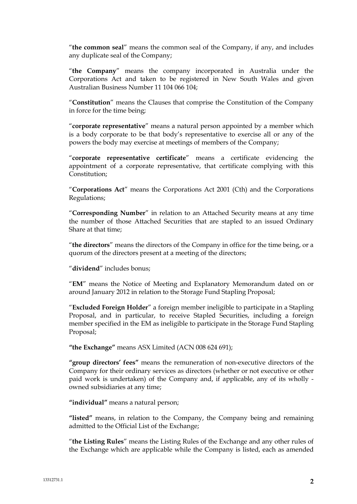"**the common seal**" means the common seal of the Company, if any, and includes any duplicate seal of the Company;

"**the Company**" means the company incorporated in Australia under the Corporations Act and taken to be registered in New South Wales and given Australian Business Number 11 104 066 104;

"**Constitution**" means the Clauses that comprise the Constitution of the Company in force for the time being;

"**corporate representative**" means a natural person appointed by a member which is a body corporate to be that body's representative to exercise all or any of the powers the body may exercise at meetings of members of the Company;

"**corporate representative certificate**" means a certificate evidencing the appointment of a corporate representative, that certificate complying with this Constitution;

"**Corporations Act**" means the Corporations Act 2001 (Cth) and the Corporations Regulations;

"**Corresponding Number**" in relation to an Attached Security means at any time the number of those Attached Securities that are stapled to an issued Ordinary Share at that time;

"**the directors**" means the directors of the Company in office for the time being, or a quorum of the directors present at a meeting of the directors;

"**dividend**" includes bonus;

"**EM**" means the Notice of Meeting and Explanatory Memorandum dated on or around January 2012 in relation to the Storage Fund Stapling Proposal;

"**Excluded Foreign Holder**" a foreign member ineligible to participate in a Stapling Proposal, and in particular, to receive Stapled Securities, including a foreign member specified in the EM as ineligible to participate in the Storage Fund Stapling Proposal;

**"the Exchange"** means ASX Limited (ACN 008 624 691);

**"group directors' fees"** means the remuneration of non-executive directors of the Company for their ordinary services as directors (whether or not executive or other paid work is undertaken) of the Company and, if applicable, any of its wholly owned subsidiaries at any time;

**"individual"** means a natural person;

**"listed"** means, in relation to the Company, the Company being and remaining admitted to the Official List of the Exchange;

"**the Listing Rules**" means the Listing Rules of the Exchange and any other rules of the Exchange which are applicable while the Company is listed, each as amended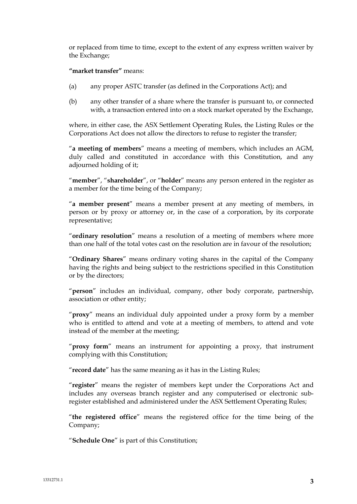or replaced from time to time, except to the extent of any express written waiver by the Exchange;

## **"market transfer"** means:

- (a) any proper ASTC transfer (as defined in the Corporations Act); and
- (b) any other transfer of a share where the transfer is pursuant to, or connected with, a transaction entered into on a stock market operated by the Exchange,

where, in either case, the ASX Settlement Operating Rules, the Listing Rules or the Corporations Act does not allow the directors to refuse to register the transfer;

"**a meeting of members**" means a meeting of members, which includes an AGM, duly called and constituted in accordance with this Constitution, and any adjourned holding of it;

"**member**", "**shareholder**", or "**holder**" means any person entered in the register as a member for the time being of the Company;

"**a member present**" means a member present at any meeting of members, in person or by proxy or attorney or, in the case of a corporation, by its corporate representative;

"**ordinary resolution**" means a resolution of a meeting of members where more than one half of the total votes cast on the resolution are in favour of the resolution;

"**Ordinary Shares**" means ordinary voting shares in the capital of the Company having the rights and being subject to the restrictions specified in this Constitution or by the directors;

"**person**" includes an individual, company, other body corporate, partnership, association or other entity;

"**proxy**" means an individual duly appointed under a proxy form by a member who is entitled to attend and vote at a meeting of members, to attend and vote instead of the member at the meeting;

"**proxy form**" means an instrument for appointing a proxy, that instrument complying with this Constitution;

"**record date**" has the same meaning as it has in the Listing Rules;

"**register**" means the register of members kept under the Corporations Act and includes any overseas branch register and any computerised or electronic subregister established and administered under the ASX Settlement Operating Rules;

"**the registered office**" means the registered office for the time being of the Company;

"**Schedule One**" is part of this Constitution;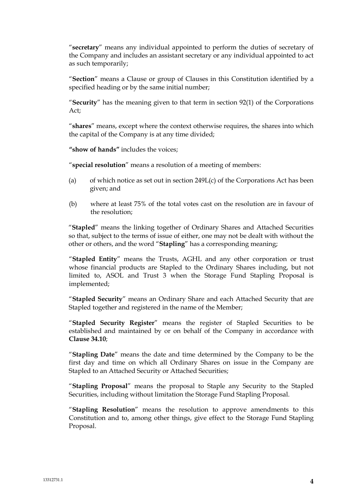"**secretary**" means any individual appointed to perform the duties of secretary of the Company and includes an assistant secretary or any individual appointed to act as such temporarily;

"**Section**" means a Clause or group of Clauses in this Constitution identified by a specified heading or by the same initial number;

"**Security**" has the meaning given to that term in section 92(1) of the Corporations Act;

"**shares**" means, except where the context otherwise requires, the shares into which the capital of the Company is at any time divided;

**"show of hands"** includes the voices;

"**special resolution**" means a resolution of a meeting of members:

- (a) of which notice as set out in section 249L(c) of the Corporations Act has been given; and
- (b) where at least 75% of the total votes cast on the resolution are in favour of the resolution;

"**Stapled**" means the linking together of Ordinary Shares and Attached Securities so that, subject to the terms of issue of either, one may not be dealt with without the other or others, and the word "**Stapling**" has a corresponding meaning;

"**Stapled Entity**" means the Trusts, AGHL and any other corporation or trust whose financial products are Stapled to the Ordinary Shares including, but not limited to, ASOL and Trust 3 when the Storage Fund Stapling Proposal is implemented;

"**Stapled Security**" means an Ordinary Share and each Attached Security that are Stapled together and registered in the name of the Member;

"**Stapled Security Register**" means the register of Stapled Securities to be established and maintained by or on behalf of the Company in accordance with **Clause 34.10**;

"**Stapling Date**" means the date and time determined by the Company to be the first day and time on which all Ordinary Shares on issue in the Company are Stapled to an Attached Security or Attached Securities;

"**Stapling Proposal**" means the proposal to Staple any Security to the Stapled Securities, including without limitation the Storage Fund Stapling Proposal.

"**Stapling Resolution**" means the resolution to approve amendments to this Constitution and to, among other things, give effect to the Storage Fund Stapling Proposal.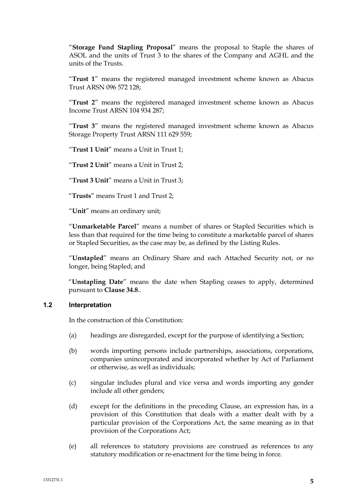"**Storage Fund Stapling Proposal**" means the proposal to Staple the shares of ASOL and the units of Trust 3 to the shares of the Company and AGHL and the units of the Trusts.

"**Trust 1**" means the registered managed investment scheme known as Abacus Trust ARSN 096 572 128;

"**Trust 2**" means the registered managed investment scheme known as Abacus Income Trust ARSN 104 934 287;

"**Trust 3**" means the registered managed investment scheme known as Abacus Storage Property Trust ARSN 111 629 559;

"**Trust 1 Unit**" means a Unit in Trust 1;

"**Trust 2 Unit**" means a Unit in Trust 2;

"**Trust 3 Unit**" means a Unit in Trust 3;

"**Trusts**" means Trust 1 and Trust 2;

"**Unit**" means an ordinary unit;

"**Unmarketable Parcel**" means a number of shares or Stapled Securities which is less than that required for the time being to constitute a marketable parcel of shares or Stapled Securities, as the case may be, as defined by the Listing Rules.

"**Unstapled**" means an Ordinary Share and each Attached Security not, or no longer, being Stapled; and

"**Unstapling Date**" means the date when Stapling ceases to apply, determined pursuant to **Clause 34.8**..

## **1.2 Interpretation**

In the construction of this Constitution:

- (a) headings are disregarded, except for the purpose of identifying a Section;
- (b) words importing persons include partnerships, associations, corporations, companies unincorporated and incorporated whether by Act of Parliament or otherwise, as well as individuals;
- (c) singular includes plural and vice versa and words importing any gender include all other genders;
- (d) except for the definitions in the preceding Clause, an expression has, in a provision of this Constitution that deals with a matter dealt with by a particular provision of the Corporations Act, the same meaning as in that provision of the Corporations Act;
- (e) all references to statutory provisions are construed as references to any statutory modification or re-enactment for the time being in force.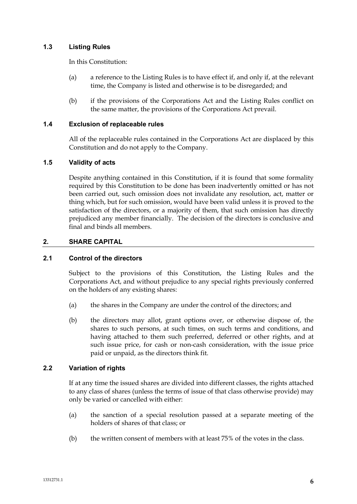# **1.3 Listing Rules**

In this Constitution:

- (a) a reference to the Listing Rules is to have effect if, and only if, at the relevant time, the Company is listed and otherwise is to be disregarded; and
- (b) if the provisions of the Corporations Act and the Listing Rules conflict on the same matter, the provisions of the Corporations Act prevail.

# **1.4 Exclusion of replaceable rules**

All of the replaceable rules contained in the Corporations Act are displaced by this Constitution and do not apply to the Company.

# **1.5 Validity of acts**

Despite anything contained in this Constitution, if it is found that some formality required by this Constitution to be done has been inadvertently omitted or has not been carried out, such omission does not invalidate any resolution, act, matter or thing which, but for such omission, would have been valid unless it is proved to the satisfaction of the directors, or a majority of them, that such omission has directly prejudiced any member financially. The decision of the directors is conclusive and final and binds all members.

# **2. SHARE CAPITAL**

# **2.1 Control of the directors**

Subject to the provisions of this Constitution, the Listing Rules and the Corporations Act, and without prejudice to any special rights previously conferred on the holders of any existing shares:

- (a) the shares in the Company are under the control of the directors; and
- (b) the directors may allot, grant options over, or otherwise dispose of, the shares to such persons, at such times, on such terms and conditions, and having attached to them such preferred, deferred or other rights, and at such issue price, for cash or non-cash consideration, with the issue price paid or unpaid, as the directors think fit.

# **2.2 Variation of rights**

If at any time the issued shares are divided into different classes, the rights attached to any class of shares (unless the terms of issue of that class otherwise provide) may only be varied or cancelled with either:

- (a) the sanction of a special resolution passed at a separate meeting of the holders of shares of that class; or
- (b) the written consent of members with at least 75% of the votes in the class.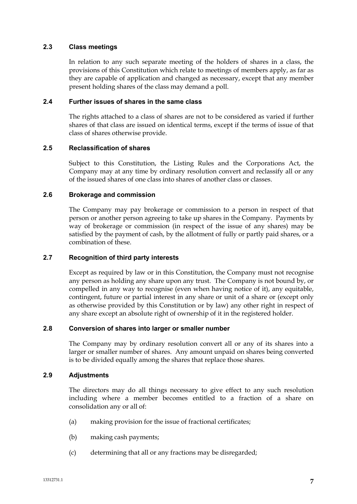# **2.3 Class meetings**

In relation to any such separate meeting of the holders of shares in a class, the provisions of this Constitution which relate to meetings of members apply, as far as they are capable of application and changed as necessary, except that any member present holding shares of the class may demand a poll.

# **2.4 Further issues of shares in the same class**

The rights attached to a class of shares are not to be considered as varied if further shares of that class are issued on identical terms, except if the terms of issue of that class of shares otherwise provide.

# **2.5 Reclassification of shares**

Subject to this Constitution, the Listing Rules and the Corporations Act, the Company may at any time by ordinary resolution convert and reclassify all or any of the issued shares of one class into shares of another class or classes.

# **2.6 Brokerage and commission**

The Company may pay brokerage or commission to a person in respect of that person or another person agreeing to take up shares in the Company. Payments by way of brokerage or commission (in respect of the issue of any shares) may be satisfied by the payment of cash, by the allotment of fully or partly paid shares, or a combination of these.

# **2.7 Recognition of third party interests**

Except as required by law or in this Constitution, the Company must not recognise any person as holding any share upon any trust. The Company is not bound by, or compelled in any way to recognise (even when having notice of it), any equitable, contingent, future or partial interest in any share or unit of a share or (except only as otherwise provided by this Constitution or by law) any other right in respect of any share except an absolute right of ownership of it in the registered holder.

# **2.8 Conversion of shares into larger or smaller number**

The Company may by ordinary resolution convert all or any of its shares into a larger or smaller number of shares. Any amount unpaid on shares being converted is to be divided equally among the shares that replace those shares.

# **2.9 Adjustments**

The directors may do all things necessary to give effect to any such resolution including where a member becomes entitled to a fraction of a share on consolidation any or all of:

- (a) making provision for the issue of fractional certificates;
- (b) making cash payments;
- (c) determining that all or any fractions may be disregarded;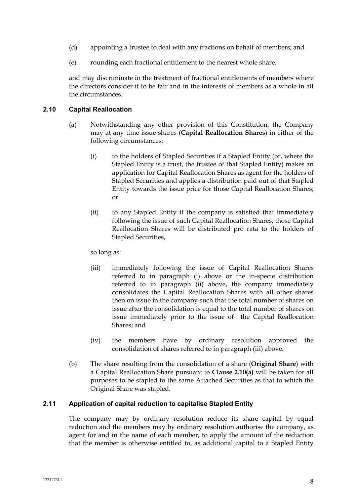- (d) appointing a trustee to deal with any fractions on behalf of members; and
- (e) rounding each fractional entitlement to the nearest whole share.

and may discriminate in the treatment of fractional entitlements of members where the directors consider it to be fair and in the interests of members as a whole in all the circumstances.

## **2.10 Capital Reallocation**

- (a) Notwithstanding any other provision of this Constitution, the Company may at any time issue shares (**Capital Reallocation Shares**) in either of the following circumstances:
	- (i) to the holders of Stapled Securities if a Stapled Entity (or, where the Stapled Entity is a trust, the trustee of that Stapled Entity) makes an application for Capital Reallocation Shares as agent for the holders of Stapled Securities and applies a distribution paid out of that Stapled Entity towards the issue price for those Capital Reallocation Shares; or
	- (ii) to any Stapled Entity if the company is satisfied that immediately following the issue of such Capital Reallocation Shares, those Capital Reallocation Shares will be distributed pro rata to the holders of Stapled Securities,

so long as:

- (iii) immediately following the issue of Capital Reallocation Shares referred to in paragraph (i) above or the in-specie distribution referred to in paragraph (ii) above, the company immediately consolidates the Capital Reallocation Shares with all other shares then on issue in the company such that the total number of shares on issue after the consolidation is equal to the total number of shares on issue immediately prior to the issue of the Capital Reallocation Shares; and
- (iv) the members have by ordinary resolution approved the consolidation of shares referred to in paragraph (iii) above.
- (b) The share resulting from the consolidation of a share (**Original Share**) with a Capital Reallocation Share pursuant to **Clause 2.10(a)** will be taken for all purposes to be stapled to the same Attached Securities as that to which the Original Share was stapled.

# **2.11 Application of capital reduction to capitalise Stapled Entity**

The company may by ordinary resolution reduce its share capital by equal reduction and the members may by ordinary resolution authorise the company, as agent for and in the name of each member, to apply the amount of the reduction that the member is otherwise entitled to, as additional capital to a Stapled Entity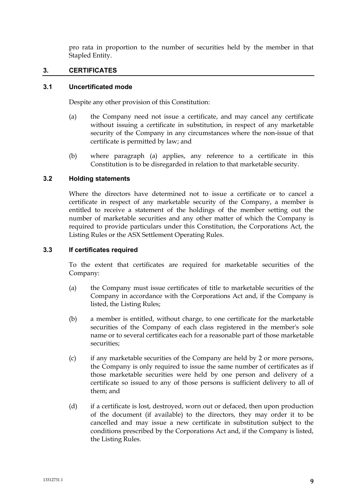pro rata in proportion to the number of securities held by the member in that Stapled Entity.

# **3. CERTIFICATES**

## **3.1 Uncertificated mode**

Despite any other provision of this Constitution:

- (a) the Company need not issue a certificate, and may cancel any certificate without issuing a certificate in substitution, in respect of any marketable security of the Company in any circumstances where the non-issue of that certificate is permitted by law; and
- (b) where paragraph (a) applies, any reference to a certificate in this Constitution is to be disregarded in relation to that marketable security.

# **3.2 Holding statements**

Where the directors have determined not to issue a certificate or to cancel a certificate in respect of any marketable security of the Company, a member is entitled to receive a statement of the holdings of the member setting out the number of marketable securities and any other matter of which the Company is required to provide particulars under this Constitution, the Corporations Act, the Listing Rules or the ASX Settlement Operating Rules.

## **3.3 If certificates required**

To the extent that certificates are required for marketable securities of the Company:

- (a) the Company must issue certificates of title to marketable securities of the Company in accordance with the Corporations Act and, if the Company is listed, the Listing Rules;
- (b) a member is entitled, without charge, to one certificate for the marketable securities of the Company of each class registered in the member's sole name or to several certificates each for a reasonable part of those marketable securities;
- (c) if any marketable securities of the Company are held by 2 or more persons, the Company is only required to issue the same number of certificates as if those marketable securities were held by one person and delivery of a certificate so issued to any of those persons is sufficient delivery to all of them; and
- (d) if a certificate is lost, destroyed, worn out or defaced, then upon production of the document (if available) to the directors, they may order it to be cancelled and may issue a new certificate in substitution subject to the conditions prescribed by the Corporations Act and, if the Company is listed, the Listing Rules.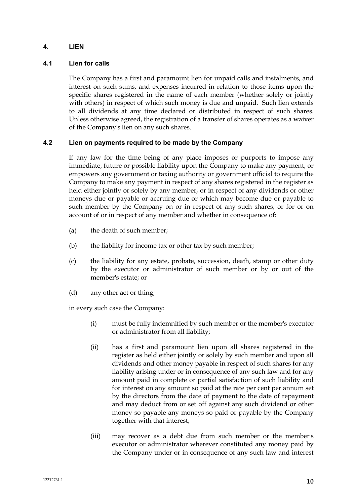## **4. LIEN**

# **4.1 Lien for calls**

The Company has a first and paramount lien for unpaid calls and instalments, and interest on such sums, and expenses incurred in relation to those items upon the specific shares registered in the name of each member (whether solely or jointly with others) in respect of which such money is due and unpaid. Such lien extends to all dividends at any time declared or distributed in respect of such shares. Unless otherwise agreed, the registration of a transfer of shares operates as a waiver of the Company's lien on any such shares.

# **4.2 Lien on payments required to be made by the Company**

If any law for the time being of any place imposes or purports to impose any immediate, future or possible liability upon the Company to make any payment, or empowers any government or taxing authority or government official to require the Company to make any payment in respect of any shares registered in the register as held either jointly or solely by any member, or in respect of any dividends or other moneys due or payable or accruing due or which may become due or payable to such member by the Company on or in respect of any such shares, or for or on account of or in respect of any member and whether in consequence of:

- (a) the death of such member;
- (b) the liability for income tax or other tax by such member;
- (c) the liability for any estate, probate, succession, death, stamp or other duty by the executor or administrator of such member or by or out of the member's estate; or
- (d) any other act or thing;

in every such case the Company:

- (i) must be fully indemnified by such member or the member's executor or administrator from all liability;
- (ii) has a first and paramount lien upon all shares registered in the register as held either jointly or solely by such member and upon all dividends and other money payable in respect of such shares for any liability arising under or in consequence of any such law and for any amount paid in complete or partial satisfaction of such liability and for interest on any amount so paid at the rate per cent per annum set by the directors from the date of payment to the date of repayment and may deduct from or set off against any such dividend or other money so payable any moneys so paid or payable by the Company together with that interest;
- (iii) may recover as a debt due from such member or the member's executor or administrator wherever constituted any money paid by the Company under or in consequence of any such law and interest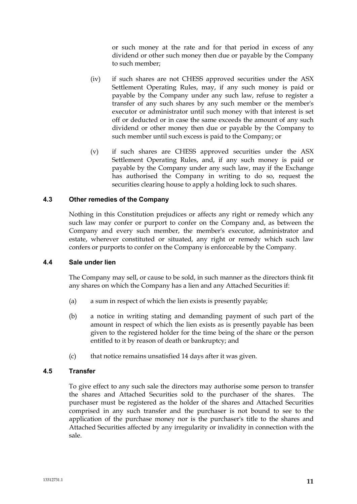or such money at the rate and for that period in excess of any dividend or other such money then due or payable by the Company to such member;

- (iv) if such shares are not CHESS approved securities under the ASX Settlement Operating Rules, may, if any such money is paid or payable by the Company under any such law, refuse to register a transfer of any such shares by any such member or the member's executor or administrator until such money with that interest is set off or deducted or in case the same exceeds the amount of any such dividend or other money then due or payable by the Company to such member until such excess is paid to the Company; or
- (v) if such shares are CHESS approved securities under the ASX Settlement Operating Rules, and, if any such money is paid or payable by the Company under any such law, may if the Exchange has authorised the Company in writing to do so, request the securities clearing house to apply a holding lock to such shares.

# **4.3 Other remedies of the Company**

Nothing in this Constitution prejudices or affects any right or remedy which any such law may confer or purport to confer on the Company and, as between the Company and every such member, the member's executor, administrator and estate, wherever constituted or situated, any right or remedy which such law confers or purports to confer on the Company is enforceable by the Company.

#### **4.4 Sale under lien**

The Company may sell, or cause to be sold, in such manner as the directors think fit any shares on which the Company has a lien and any Attached Securities if:

- (a) a sum in respect of which the lien exists is presently payable;
- (b) a notice in writing stating and demanding payment of such part of the amount in respect of which the lien exists as is presently payable has been given to the registered holder for the time being of the share or the person entitled to it by reason of death or bankruptcy; and
- (c) that notice remains unsatisfied 14 days after it was given.

#### **4.5 Transfer**

To give effect to any such sale the directors may authorise some person to transfer the shares and Attached Securities sold to the purchaser of the shares. The purchaser must be registered as the holder of the shares and Attached Securities comprised in any such transfer and the purchaser is not bound to see to the application of the purchase money nor is the purchaser's title to the shares and Attached Securities affected by any irregularity or invalidity in connection with the sale.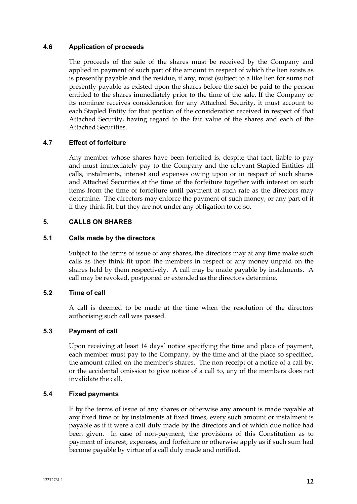# **4.6 Application of proceeds**

The proceeds of the sale of the shares must be received by the Company and applied in payment of such part of the amount in respect of which the lien exists as is presently payable and the residue, if any, must (subject to a like lien for sums not presently payable as existed upon the shares before the sale) be paid to the person entitled to the shares immediately prior to the time of the sale. If the Company or its nominee receives consideration for any Attached Security, it must account to each Stapled Entity for that portion of the consideration received in respect of that Attached Security, having regard to the fair value of the shares and each of the Attached Securities.

# **4.7 Effect of forfeiture**

Any member whose shares have been forfeited is, despite that fact, liable to pay and must immediately pay to the Company and the relevant Stapled Entities all calls, instalments, interest and expenses owing upon or in respect of such shares and Attached Securities at the time of the forfeiture together with interest on such items from the time of forfeiture until payment at such rate as the directors may determine. The directors may enforce the payment of such money, or any part of it if they think fit, but they are not under any obligation to do so.

# **5. CALLS ON SHARES**

## **5.1 Calls made by the directors**

Subject to the terms of issue of any shares, the directors may at any time make such calls as they think fit upon the members in respect of any money unpaid on the shares held by them respectively. A call may be made payable by instalments. A call may be revoked, postponed or extended as the directors determine.

# **5.2 Time of call**

A call is deemed to be made at the time when the resolution of the directors authorising such call was passed.

#### **5.3 Payment of call**

Upon receiving at least 14 days' notice specifying the time and place of payment, each member must pay to the Company, by the time and at the place so specified, the amount called on the member's shares. The non-receipt of a notice of a call by, or the accidental omission to give notice of a call to, any of the members does not invalidate the call.

#### **5.4 Fixed payments**

If by the terms of issue of any shares or otherwise any amount is made payable at any fixed time or by instalments at fixed times, every such amount or instalment is payable as if it were a call duly made by the directors and of which due notice had been given. In case of non-payment, the provisions of this Constitution as to payment of interest, expenses, and forfeiture or otherwise apply as if such sum had become payable by virtue of a call duly made and notified.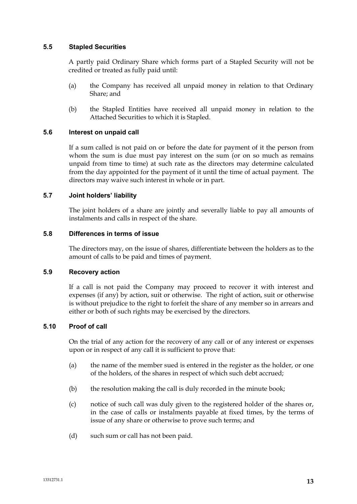## **5.5 Stapled Securities**

A partly paid Ordinary Share which forms part of a Stapled Security will not be credited or treated as fully paid until:

- (a) the Company has received all unpaid money in relation to that Ordinary Share; and
- (b) the Stapled Entities have received all unpaid money in relation to the Attached Securities to which it is Stapled.

## **5.6 Interest on unpaid call**

If a sum called is not paid on or before the date for payment of it the person from whom the sum is due must pay interest on the sum (or on so much as remains unpaid from time to time) at such rate as the directors may determine calculated from the day appointed for the payment of it until the time of actual payment. The directors may waive such interest in whole or in part.

## **5.7 Joint holders' liability**

The joint holders of a share are jointly and severally liable to pay all amounts of instalments and calls in respect of the share.

## **5.8 Differences in terms of issue**

The directors may, on the issue of shares, differentiate between the holders as to the amount of calls to be paid and times of payment.

## **5.9 Recovery action**

If a call is not paid the Company may proceed to recover it with interest and expenses (if any) by action, suit or otherwise. The right of action, suit or otherwise is without prejudice to the right to forfeit the share of any member so in arrears and either or both of such rights may be exercised by the directors.

# **5.10 Proof of call**

On the trial of any action for the recovery of any call or of any interest or expenses upon or in respect of any call it is sufficient to prove that:

- (a) the name of the member sued is entered in the register as the holder, or one of the holders, of the shares in respect of which such debt accrued;
- (b) the resolution making the call is duly recorded in the minute book;
- (c) notice of such call was duly given to the registered holder of the shares or, in the case of calls or instalments payable at fixed times, by the terms of issue of any share or otherwise to prove such terms; and
- (d) such sum or call has not been paid.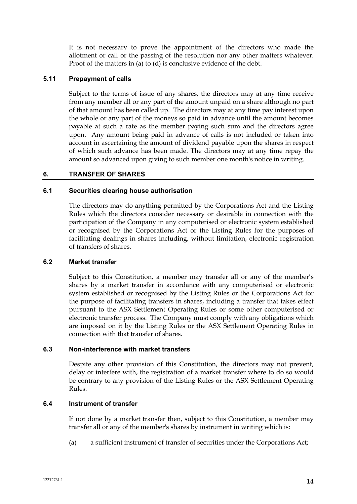It is not necessary to prove the appointment of the directors who made the allotment or call or the passing of the resolution nor any other matters whatever. Proof of the matters in (a) to (d) is conclusive evidence of the debt.

## **5.11 Prepayment of calls**

Subject to the terms of issue of any shares, the directors may at any time receive from any member all or any part of the amount unpaid on a share although no part of that amount has been called up. The directors may at any time pay interest upon the whole or any part of the moneys so paid in advance until the amount becomes payable at such a rate as the member paying such sum and the directors agree upon. Any amount being paid in advance of calls is not included or taken into account in ascertaining the amount of dividend payable upon the shares in respect of which such advance has been made. The directors may at any time repay the amount so advanced upon giving to such member one month's notice in writing.

## **6. TRANSFER OF SHARES**

#### **6.1 Securities clearing house authorisation**

The directors may do anything permitted by the Corporations Act and the Listing Rules which the directors consider necessary or desirable in connection with the participation of the Company in any computerised or electronic system established or recognised by the Corporations Act or the Listing Rules for the purposes of facilitating dealings in shares including, without limitation, electronic registration of transfers of shares.

#### **6.2 Market transfer**

Subject to this Constitution, a member may transfer all or any of the member's shares by a market transfer in accordance with any computerised or electronic system established or recognised by the Listing Rules or the Corporations Act for the purpose of facilitating transfers in shares, including a transfer that takes effect pursuant to the ASX Settlement Operating Rules or some other computerised or electronic transfer process. The Company must comply with any obligations which are imposed on it by the Listing Rules or the ASX Settlement Operating Rules in connection with that transfer of shares.

#### **6.3 Non-interference with market transfers**

Despite any other provision of this Constitution, the directors may not prevent, delay or interfere with, the registration of a market transfer where to do so would be contrary to any provision of the Listing Rules or the ASX Settlement Operating Rules.

## **6.4 Instrument of transfer**

If not done by a market transfer then, subject to this Constitution, a member may transfer all or any of the member's shares by instrument in writing which is:

(a) a sufficient instrument of transfer of securities under the Corporations Act;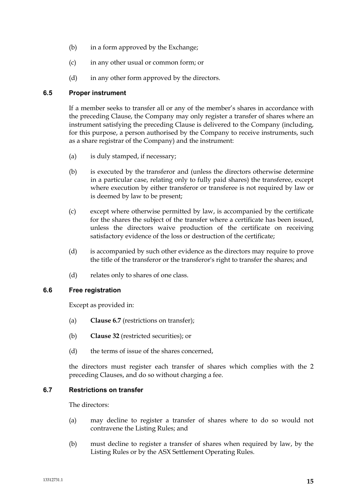- (b) in a form approved by the Exchange;
- (c) in any other usual or common form; or
- (d) in any other form approved by the directors.

# **6.5 Proper instrument**

If a member seeks to transfer all or any of the member's shares in accordance with the preceding Clause, the Company may only register a transfer of shares where an instrument satisfying the preceding Clause is delivered to the Company (including, for this purpose, a person authorised by the Company to receive instruments, such as a share registrar of the Company) and the instrument:

- (a) is duly stamped, if necessary;
- (b) is executed by the transferor and (unless the directors otherwise determine in a particular case, relating only to fully paid shares) the transferee, except where execution by either transferor or transferee is not required by law or is deemed by law to be present;
- (c) except where otherwise permitted by law, is accompanied by the certificate for the shares the subject of the transfer where a certificate has been issued, unless the directors waive production of the certificate on receiving satisfactory evidence of the loss or destruction of the certificate;
- (d) is accompanied by such other evidence as the directors may require to prove the title of the transferor or the transferor's right to transfer the shares; and
- (d) relates only to shares of one class.

# **6.6 Free registration**

Except as provided in:

- (a) **Clause 6.7** (restrictions on transfer);
- (b) **Clause 32** (restricted securities); or
- (d) the terms of issue of the shares concerned,

the directors must register each transfer of shares which complies with the 2 preceding Clauses, and do so without charging a fee.

# **6.7 Restrictions on transfer**

The directors:

- (a) may decline to register a transfer of shares where to do so would not contravene the Listing Rules; and
- (b) must decline to register a transfer of shares when required by law, by the Listing Rules or by the ASX Settlement Operating Rules.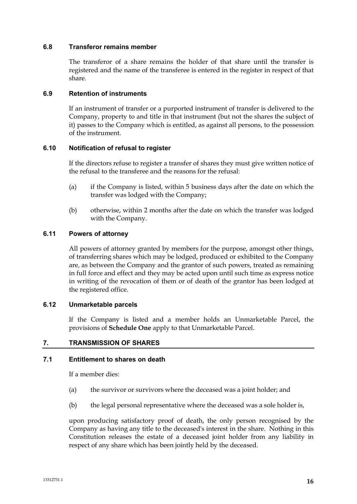## **6.8 Transferor remains member**

The transferor of a share remains the holder of that share until the transfer is registered and the name of the transferee is entered in the register in respect of that share.

## **6.9 Retention of instruments**

If an instrument of transfer or a purported instrument of transfer is delivered to the Company, property to and title in that instrument (but not the shares the subject of it) passes to the Company which is entitled, as against all persons, to the possession of the instrument.

## **6.10 Notification of refusal to register**

If the directors refuse to register a transfer of shares they must give written notice of the refusal to the transferee and the reasons for the refusal:

- (a) if the Company is listed, within 5 business days after the date on which the transfer was lodged with the Company;
- (b) otherwise, within 2 months after the date on which the transfer was lodged with the Company.

## **6.11 Powers of attorney**

All powers of attorney granted by members for the purpose, amongst other things, of transferring shares which may be lodged, produced or exhibited to the Company are, as between the Company and the grantor of such powers, treated as remaining in full force and effect and they may be acted upon until such time as express notice in writing of the revocation of them or of death of the grantor has been lodged at the registered office.

## **6.12 Unmarketable parcels**

If the Company is listed and a member holds an Unmarketable Parcel, the provisions of **Schedule One** apply to that Unmarketable Parcel.

# **7. TRANSMISSION OF SHARES**

## **7.1 Entitlement to shares on death**

If a member dies:

- (a) the survivor or survivors where the deceased was a joint holder; and
- (b) the legal personal representative where the deceased was a sole holder is,

upon producing satisfactory proof of death, the only person recognised by the Company as having any title to the deceased's interest in the share. Nothing in this Constitution releases the estate of a deceased joint holder from any liability in respect of any share which has been jointly held by the deceased.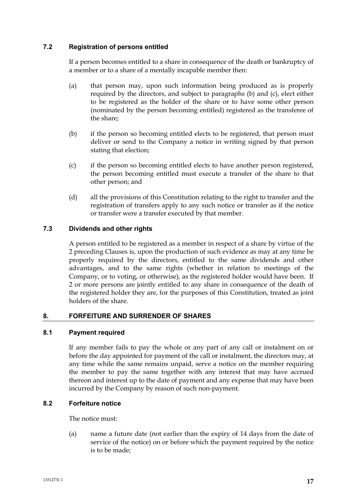# **7.2 Registration of persons entitled**

If a person becomes entitled to a share in consequence of the death or bankruptcy of a member or to a share of a mentally incapable member then:

- (a) that person may, upon such information being produced as is properly required by the directors, and subject to paragraphs (b) and (c), elect either to be registered as the holder of the share or to have some other person (nominated by the person becoming entitled) registered as the transferee of the share;
- (b) if the person so becoming entitled elects to be registered, that person must deliver or send to the Company a notice in writing signed by that person stating that election;
- (c) if the person so becoming entitled elects to have another person registered, the person becoming entitled must execute a transfer of the share to that other person; and
- (d) all the provisions of this Constitution relating to the right to transfer and the registration of transfers apply to any such notice or transfer as if the notice or transfer were a transfer executed by that member.

# **7.3 Dividends and other rights**

A person entitled to be registered as a member in respect of a share by virtue of the 2 preceding Clauses is, upon the production of such evidence as may at any time be properly required by the directors, entitled to the same dividends and other advantages, and to the same rights (whether in relation to meetings of the Company, or to voting, or otherwise), as the registered holder would have been. If 2 or more persons are jointly entitled to any share in consequence of the death of the registered holder they are, for the purposes of this Constitution, treated as joint holders of the share.

# **8. FORFEITURE AND SURRENDER OF SHARES**

# **8.1 Payment required**

If any member fails to pay the whole or any part of any call or instalment on or before the day appointed for payment of the call or instalment, the directors may, at any time while the same remains unpaid, serve a notice on the member requiring the member to pay the same together with any interest that may have accrued thereon and interest up to the date of payment and any expense that may have been incurred by the Company by reason of such non-payment.

# **8.2 Forfeiture notice**

The notice must:

(a) name a future date (not earlier than the expiry of 14 days from the date of service of the notice) on or before which the payment required by the notice is to be made;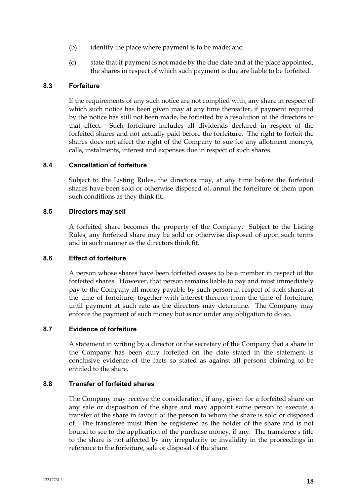- (b) identify the place where payment is to be made; and
- (c) state that if payment is not made by the due date and at the place appointed, the shares in respect of which such payment is due are liable to be forfeited.

# **8.3 Forfeiture**

If the requirements of any such notice are not complied with, any share in respect of which such notice has been given may at any time thereafter, if payment required by the notice has still not been made, be forfeited by a resolution of the directors to that effect. Such forfeiture includes all dividends declared in respect of the forfeited shares and not actually paid before the forfeiture. The right to forfeit the shares does not affect the right of the Company to sue for any allotment moneys, calls, instalments, interest and expenses due in respect of such shares.

# **8.4 Cancellation of forfeiture**

Subject to the Listing Rules, the directors may, at any time before the forfeited shares have been sold or otherwise disposed of, annul the forfeiture of them upon such conditions as they think fit.

## **8.5 Directors may sell**

A forfeited share becomes the property of the Company. Subject to the Listing Rules, any forfeited share may be sold or otherwise disposed of upon such terms and in such manner as the directors think fit.

# **8.6 Effect of forfeiture**

A person whose shares have been forfeited ceases to be a member in respect of the forfeited shares. However, that person remains liable to pay and must immediately pay to the Company all money payable by such person in respect of such shares at the time of forfeiture, together with interest thereon from the time of forfeiture, until payment at such rate as the directors may determine. The Company may enforce the payment of such money but is not under any obligation to do so.

# **8.7 Evidence of forfeiture**

A statement in writing by a director or the secretary of the Company that a share in the Company has been duly forfeited on the date stated in the statement is conclusive evidence of the facts so stated as against all persons claiming to be entitled to the share.

# **8.8 Transfer of forfeited shares**

The Company may receive the consideration, if any, given for a forfeited share on any sale or disposition of the share and may appoint some person to execute a transfer of the share in favour of the person to whom the share is sold or disposed of. The transferee must then be registered as the holder of the share and is not bound to see to the application of the purchase money, if any. The transferee's title to the share is not affected by any irregularity or invalidity in the proceedings in reference to the forfeiture, sale or disposal of the share.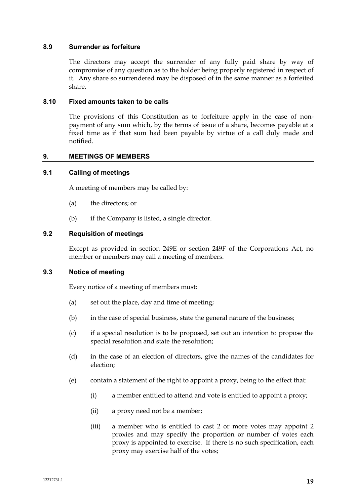## **8.9 Surrender as forfeiture**

The directors may accept the surrender of any fully paid share by way of compromise of any question as to the holder being properly registered in respect of it. Any share so surrendered may be disposed of in the same manner as a forfeited share.

## **8.10 Fixed amounts taken to be calls**

The provisions of this Constitution as to forfeiture apply in the case of nonpayment of any sum which, by the terms of issue of a share, becomes payable at a fixed time as if that sum had been payable by virtue of a call duly made and notified.

## **9. MEETINGS OF MEMBERS**

#### **9.1 Calling of meetings**

A meeting of members may be called by:

- (a) the directors; or
- (b) if the Company is listed, a single director.

## **9.2 Requisition of meetings**

Except as provided in section 249E or section 249F of the Corporations Act, no member or members may call a meeting of members.

## **9.3 Notice of meeting**

Every notice of a meeting of members must:

- (a) set out the place, day and time of meeting;
- (b) in the case of special business, state the general nature of the business;
- (c) if a special resolution is to be proposed, set out an intention to propose the special resolution and state the resolution;
- (d) in the case of an election of directors, give the names of the candidates for election;
- (e) contain a statement of the right to appoint a proxy, being to the effect that:
	- (i) a member entitled to attend and vote is entitled to appoint a proxy;
	- (ii) a proxy need not be a member;
	- (iii) a member who is entitled to cast 2 or more votes may appoint 2 proxies and may specify the proportion or number of votes each proxy is appointed to exercise. If there is no such specification, each proxy may exercise half of the votes;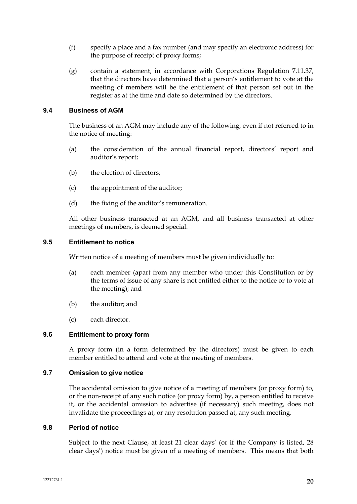- (f) specify a place and a fax number (and may specify an electronic address) for the purpose of receipt of proxy forms;
- (g) contain a statement, in accordance with Corporations Regulation 7.11.37, that the directors have determined that a person's entitlement to vote at the meeting of members will be the entitlement of that person set out in the register as at the time and date so determined by the directors.

# **9.4 Business of AGM**

The business of an AGM may include any of the following, even if not referred to in the notice of meeting:

- (a) the consideration of the annual financial report, directors' report and auditor's report;
- (b) the election of directors;
- (c) the appointment of the auditor;
- (d) the fixing of the auditor's remuneration.

All other business transacted at an AGM, and all business transacted at other meetings of members, is deemed special.

#### **9.5 Entitlement to notice**

Written notice of a meeting of members must be given individually to:

- (a) each member (apart from any member who under this Constitution or by the terms of issue of any share is not entitled either to the notice or to vote at the meeting); and
- (b) the auditor; and
- (c) each director.

#### **9.6 Entitlement to proxy form**

A proxy form (in a form determined by the directors) must be given to each member entitled to attend and vote at the meeting of members.

## **9.7 Omission to give notice**

The accidental omission to give notice of a meeting of members (or proxy form) to, or the non-receipt of any such notice (or proxy form) by, a person entitled to receive it, or the accidental omission to advertise (if necessary) such meeting, does not invalidate the proceedings at, or any resolution passed at, any such meeting.

#### **9.8 Period of notice**

Subject to the next Clause, at least 21 clear days' (or if the Company is listed, 28 clear days') notice must be given of a meeting of members. This means that both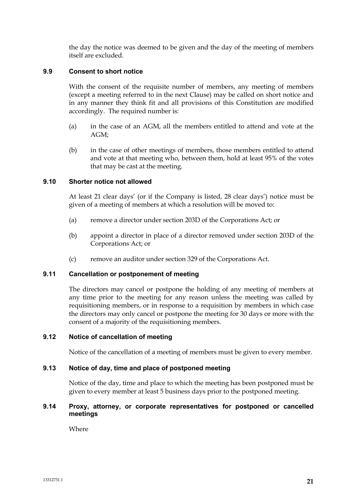the day the notice was deemed to be given and the day of the meeting of members itself are excluded.

# **9.9 Consent to short notice**

With the consent of the requisite number of members, any meeting of members (except a meeting referred to in the next Clause) may be called on short notice and in any manner they think fit and all provisions of this Constitution are modified accordingly. The required number is:

- (a) in the case of an AGM, all the members entitled to attend and vote at the AGM;
- (b) in the case of other meetings of members, those members entitled to attend and vote at that meeting who, between them, hold at least 95% of the votes that may be cast at the meeting.

# **9.10 Shorter notice not allowed**

At least 21 clear days' (or if the Company is listed, 28 clear days') notice must be given of a meeting of members at which a resolution will be moved to:

- (a) remove a director under section 203D of the Corporations Act; or
- (b) appoint a director in place of a director removed under section 203D of the Corporations Act; or
- (c) remove an auditor under section 329 of the Corporations Act.

#### **9.11 Cancellation or postponement of meeting**

The directors may cancel or postpone the holding of any meeting of members at any time prior to the meeting for any reason unless the meeting was called by requisitioning members, or in response to a requisition by members in which case the directors may only cancel or postpone the meeting for 30 days or more with the consent of a majority of the requisitioning members.

# **9.12 Notice of cancellation of meeting**

Notice of the cancellation of a meeting of members must be given to every member.

#### **9.13 Notice of day, time and place of postponed meeting**

Notice of the day, time and place to which the meeting has been postponed must be given to every member at least 5 business days prior to the postponed meeting.

## **9.14 Proxy, attorney, or corporate representatives for postponed or cancelled meetings**

Where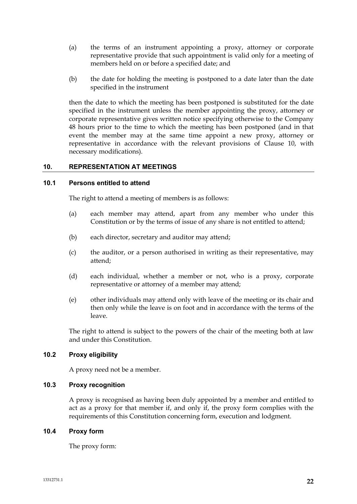- (a) the terms of an instrument appointing a proxy, attorney or corporate representative provide that such appointment is valid only for a meeting of members held on or before a specified date; and
- (b) the date for holding the meeting is postponed to a date later than the date specified in the instrument

then the date to which the meeting has been postponed is substituted for the date specified in the instrument unless the member appointing the proxy, attorney or corporate representative gives written notice specifying otherwise to the Company 48 hours prior to the time to which the meeting has been postponed (and in that event the member may at the same time appoint a new proxy, attorney or representative in accordance with the relevant provisions of Clause 10, with necessary modifications).

# **10. REPRESENTATION AT MEETINGS**

## **10.1 Persons entitled to attend**

The right to attend a meeting of members is as follows:

- (a) each member may attend, apart from any member who under this Constitution or by the terms of issue of any share is not entitled to attend;
- (b) each director, secretary and auditor may attend;
- (c) the auditor, or a person authorised in writing as their representative, may attend;
- (d) each individual, whether a member or not, who is a proxy, corporate representative or attorney of a member may attend;
- (e) other individuals may attend only with leave of the meeting or its chair and then only while the leave is on foot and in accordance with the terms of the leave.

The right to attend is subject to the powers of the chair of the meeting both at law and under this Constitution.

# **10.2 Proxy eligibility**

A proxy need not be a member.

# **10.3 Proxy recognition**

A proxy is recognised as having been duly appointed by a member and entitled to act as a proxy for that member if, and only if, the proxy form complies with the requirements of this Constitution concerning form, execution and lodgment.

## **10.4 Proxy form**

The proxy form: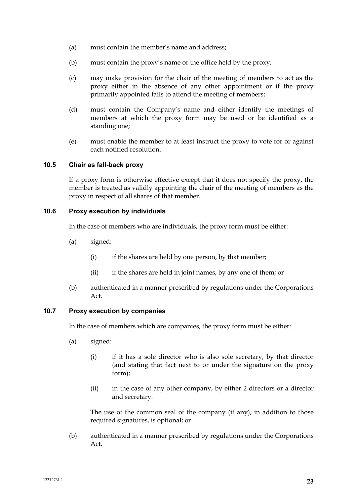- (a) must contain the member's name and address;
- (b) must contain the proxy's name or the office held by the proxy;
- (c) may make provision for the chair of the meeting of members to act as the proxy either in the absence of any other appointment or if the proxy primarily appointed fails to attend the meeting of members;
- (d) must contain the Company's name and either identify the meetings of members at which the proxy form may be used or be identified as a standing one;
- (e) must enable the member to at least instruct the proxy to vote for or against each notified resolution.

## **10.5 Chair as fall-back proxy**

If a proxy form is otherwise effective except that it does not specify the proxy, the member is treated as validly appointing the chair of the meeting of members as the proxy in respect of all shares of that member.

## **10.6 Proxy execution by individuals**

In the case of members who are individuals, the proxy form must be either:

- (a) signed:
	- (i) if the shares are held by one person, by that member;
	- (ii) if the shares are held in joint names, by any one of them; or
- (b) authenticated in a manner prescribed by regulations under the Corporations Act.

# **10.7 Proxy execution by companies**

In the case of members which are companies, the proxy form must be either:

- (a) signed:
	- (i) if it has a sole director who is also sole secretary, by that director (and stating that fact next to or under the signature on the proxy form);
	- (ii) in the case of any other company, by either 2 directors or a director and secretary.

The use of the common seal of the company (if any), in addition to those required signatures, is optional; or

(b) authenticated in a manner prescribed by regulations under the Corporations Act.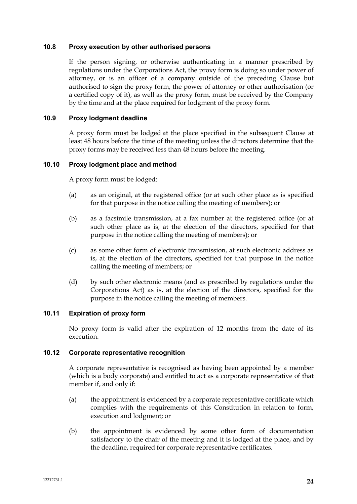## **10.8 Proxy execution by other authorised persons**

If the person signing, or otherwise authenticating in a manner prescribed by regulations under the Corporations Act, the proxy form is doing so under power of attorney, or is an officer of a company outside of the preceding Clause but authorised to sign the proxy form, the power of attorney or other authorisation (or a certified copy of it), as well as the proxy form, must be received by the Company by the time and at the place required for lodgment of the proxy form.

## **10.9 Proxy lodgment deadline**

A proxy form must be lodged at the place specified in the subsequent Clause at least 48 hours before the time of the meeting unless the directors determine that the proxy forms may be received less than 48 hours before the meeting.

## **10.10 Proxy lodgment place and method**

A proxy form must be lodged:

- (a) as an original, at the registered office (or at such other place as is specified for that purpose in the notice calling the meeting of members); or
- (b) as a facsimile transmission, at a fax number at the registered office (or at such other place as is, at the election of the directors, specified for that purpose in the notice calling the meeting of members); or
- (c) as some other form of electronic transmission, at such electronic address as is, at the election of the directors, specified for that purpose in the notice calling the meeting of members; or
- (d) by such other electronic means (and as prescribed by regulations under the Corporations Act) as is, at the election of the directors, specified for the purpose in the notice calling the meeting of members.

## **10.11 Expiration of proxy form**

No proxy form is valid after the expiration of 12 months from the date of its execution.

#### **10.12 Corporate representative recognition**

A corporate representative is recognised as having been appointed by a member (which is a body corporate) and entitled to act as a corporate representative of that member if, and only if:

- (a) the appointment is evidenced by a corporate representative certificate which complies with the requirements of this Constitution in relation to form, execution and lodgment; or
- (b) the appointment is evidenced by some other form of documentation satisfactory to the chair of the meeting and it is lodged at the place, and by the deadline, required for corporate representative certificates.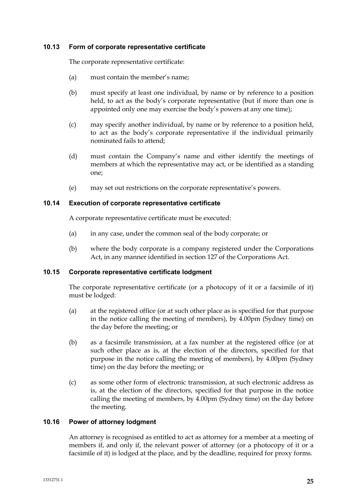## **10.13 Form of corporate representative certificate**

The corporate representative certificate:

- (a) must contain the member's name;
- (b) must specify at least one individual, by name or by reference to a position held, to act as the body's corporate representative (but if more than one is appointed only one may exercise the body's powers at any one time);
- (c) may specify another individual, by name or by reference to a position held, to act as the body's corporate representative if the individual primarily nominated fails to attend;
- (d) must contain the Company's name and either identify the meetings of members at which the representative may act, or be identified as a standing one;
- (e) may set out restrictions on the corporate representative's powers.

## **10.14 Execution of corporate representative certificate**

A corporate representative certificate must be executed:

- (a) in any case, under the common seal of the body corporate; or
- (b) where the body corporate is a company registered under the Corporations Act, in any manner identified in section 127 of the Corporations Act.

# **10.15 Corporate representative certificate lodgment**

The corporate representative certificate (or a photocopy of it or a facsimile of it) must be lodged:

- (a) at the registered office (or at such other place as is specified for that purpose in the notice calling the meeting of members), by 4.00pm (Sydney time) on the day before the meeting; or
- (b) as a facsimile transmission, at a fax number at the registered office (or at such other place as is, at the election of the directors, specified for that purpose in the notice calling the meeting of members), by 4.00pm (Sydney time) on the day before the meeting; or
- (c) as some other form of electronic transmission, at such electronic address as is, at the election of the directors, specified for that purpose in the notice calling the meeting of members, by 4.00pm (Sydney time) on the day before the meeting.

# **10.16 Power of attorney lodgment**

An attorney is recognised as entitled to act as attorney for a member at a meeting of members if, and only if, the relevant power of attorney (or a photocopy of it or a facsimile of it) is lodged at the place, and by the deadline, required for proxy forms.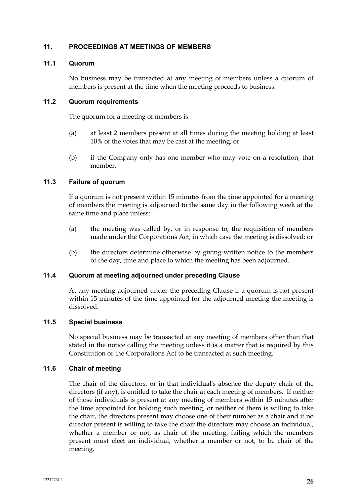## **11. PROCEEDINGS AT MEETINGS OF MEMBERS**

# **11.1 Quorum**

No business may be transacted at any meeting of members unless a quorum of members is present at the time when the meeting proceeds to business.

## **11.2 Quorum requirements**

The quorum for a meeting of members is:

- (a) at least 2 members present at all times during the meeting holding at least 10% of the votes that may be cast at the meeting; or
- (b) if the Company only has one member who may vote on a resolution, that member.

# **11.3 Failure of quorum**

If a quorum is not present within 15 minutes from the time appointed for a meeting of members the meeting is adjourned to the same day in the following week at the same time and place unless:

- (a) the meeting was called by, or in response to, the requisition of members made under the Corporations Act, in which case the meeting is dissolved; or
- (b) the directors determine otherwise by giving written notice to the members of the day, time and place to which the meeting has been adjourned.

#### **11.4 Quorum at meeting adjourned under preceding Clause**

At any meeting adjourned under the preceding Clause if a quorum is not present within 15 minutes of the time appointed for the adjourned meeting the meeting is dissolved.

## **11.5 Special business**

No special business may be transacted at any meeting of members other than that stated in the notice calling the meeting unless it is a matter that is required by this Constitution or the Corporations Act to be transacted at such meeting.

#### **11.6 Chair of meeting**

The chair of the directors, or in that individual's absence the deputy chair of the directors (if any), is entitled to take the chair at each meeting of members. If neither of those individuals is present at any meeting of members within 15 minutes after the time appointed for holding such meeting, or neither of them is willing to take the chair, the directors present may choose one of their number as a chair and if no director present is willing to take the chair the directors may choose an individual, whether a member or not, as chair of the meeting, failing which the members present must elect an individual, whether a member or not, to be chair of the meeting.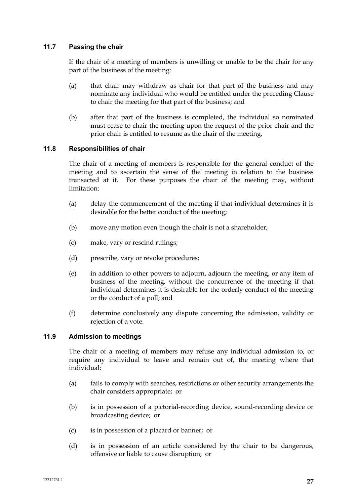# **11.7 Passing the chair**

If the chair of a meeting of members is unwilling or unable to be the chair for any part of the business of the meeting:

- (a) that chair may withdraw as chair for that part of the business and may nominate any individual who would be entitled under the preceding Clause to chair the meeting for that part of the business; and
- (b) after that part of the business is completed, the individual so nominated must cease to chair the meeting upon the request of the prior chair and the prior chair is entitled to resume as the chair of the meeting.

# **11.8 Responsibilities of chair**

The chair of a meeting of members is responsible for the general conduct of the meeting and to ascertain the sense of the meeting in relation to the business transacted at it. For these purposes the chair of the meeting may, without limitation:

- (a) delay the commencement of the meeting if that individual determines it is desirable for the better conduct of the meeting;
- (b) move any motion even though the chair is not a shareholder;
- (c) make, vary or rescind rulings;
- (d) prescribe, vary or revoke procedures;
- (e) in addition to other powers to adjourn, adjourn the meeting, or any item of business of the meeting, without the concurrence of the meeting if that individual determines it is desirable for the orderly conduct of the meeting or the conduct of a poll; and
- (f) determine conclusively any dispute concerning the admission, validity or rejection of a vote.

# **11.9 Admission to meetings**

The chair of a meeting of members may refuse any individual admission to, or require any individual to leave and remain out of, the meeting where that individual:

- (a) fails to comply with searches, restrictions or other security arrangements the chair considers appropriate; or
- (b) is in possession of a pictorial-recording device, sound-recording device or broadcasting device; or
- (c) is in possession of a placard or banner; or
- (d) is in possession of an article considered by the chair to be dangerous, offensive or liable to cause disruption; or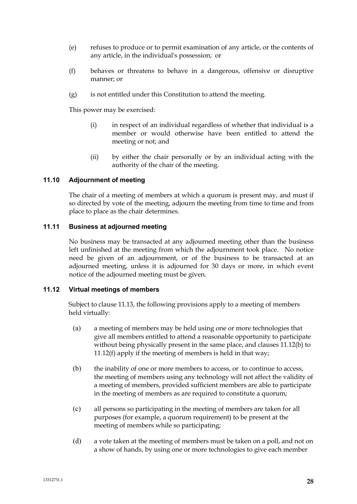- (e) refuses to produce or to permit examination of any article, or the contents of any article, in the individual's possession; or
- (f) behaves or threatens to behave in a dangerous, offensive or disruptive manner; or
- (g) is not entitled under this Constitution to attend the meeting.

This power may be exercised:

- (i) in respect of an individual regardless of whether that individual is a member or would otherwise have been entitled to attend the meeting or not; and
- (ii) by either the chair personally or by an individual acting with the authority of the chair of the meeting.

# **11.10 Adjournment of meeting**

The chair of a meeting of members at which a quorum is present may, and must if so directed by vote of the meeting, adjourn the meeting from time to time and from place to place as the chair determines.

# **11.11 Business at adjourned meeting**

No business may be transacted at any adjourned meeting other than the business left unfinished at the meeting from which the adjournment took place. No notice need be given of an adjournment, or of the business to be transacted at an adjourned meeting, unless it is adjourned for 30 days or more, in which event notice of the adjourned meeting must be given.

## **11.12 Virtual meetings of members**

Subject to clause 11.13, the following provisions apply to a meeting of members held virtually:

- (a) a meeting of members may be held using one or more technologies that give all members entitled to attend a reasonable opportunity to participate without being physically present in the same place, and clauses 11.12(b) to 11.12(f) apply if the meeting of members is held in that way;
- (b) the inability of one or more members to access, or to continue to access, the meeting of members using any technology will not affect the validity of a meeting of members, provided sufficient members are able to participate in the meeting of members as are required to constitute a quorum;
- (c) all persons so participating in the meeting of members are taken for all purposes (for example, a quorum requirement) to be present at the meeting of members while so participating;
- (d) a vote taken at the meeting of members must be taken on a poll, and not on a show of hands, by using one or more technologies to give each member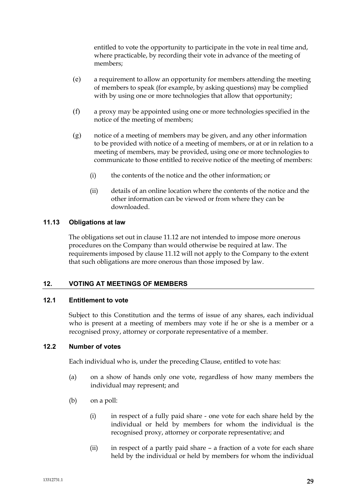entitled to vote the opportunity to participate in the vote in real time and, where practicable, by recording their vote in advance of the meeting of members;

- (e) a requirement to allow an opportunity for members attending the meeting of members to speak (for example, by asking questions) may be complied with by using one or more technologies that allow that opportunity;
- (f) a proxy may be appointed using one or more technologies specified in the notice of the meeting of members;
- (g) notice of a meeting of members may be given, and any other information to be provided with notice of a meeting of members, or at or in relation to a meeting of members, may be provided, using one or more technologies to communicate to those entitled to receive notice of the meeting of members:
	- (i) the contents of the notice and the other information; or
	- (ii) details of an online location where the contents of the notice and the other information can be viewed or from where they can be downloaded.

# **11.13 Obligations at law**

The obligations set out in clause 11.12 are not intended to impose more onerous procedures on the Company than would otherwise be required at law. The requirements imposed by clause 11.12 will not apply to the Company to the extent that such obligations are more onerous than those imposed by law.

#### **12. VOTING AT MEETINGS OF MEMBERS**

## **12.1 Entitlement to vote**

Subject to this Constitution and the terms of issue of any shares, each individual who is present at a meeting of members may vote if he or she is a member or a recognised proxy, attorney or corporate representative of a member.

## **12.2 Number of votes**

Each individual who is, under the preceding Clause, entitled to vote has:

- (a) on a show of hands only one vote, regardless of how many members the individual may represent; and
- (b) on a poll:
	- (i) in respect of a fully paid share one vote for each share held by the individual or held by members for whom the individual is the recognised proxy, attorney or corporate representative; and
	- (ii) in respect of a partly paid share a fraction of a vote for each share held by the individual or held by members for whom the individual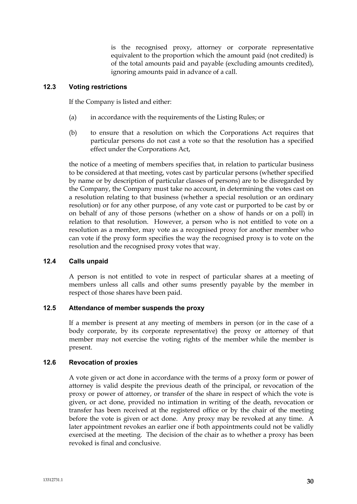is the recognised proxy, attorney or corporate representative equivalent to the proportion which the amount paid (not credited) is of the total amounts paid and payable (excluding amounts credited), ignoring amounts paid in advance of a call.

## **12.3 Voting restrictions**

If the Company is listed and either:

- (a) in accordance with the requirements of the Listing Rules; or
- (b) to ensure that a resolution on which the Corporations Act requires that particular persons do not cast a vote so that the resolution has a specified effect under the Corporations Act,

the notice of a meeting of members specifies that, in relation to particular business to be considered at that meeting, votes cast by particular persons (whether specified by name or by description of particular classes of persons) are to be disregarded by the Company, the Company must take no account, in determining the votes cast on a resolution relating to that business (whether a special resolution or an ordinary resolution) or for any other purpose, of any vote cast or purported to be cast by or on behalf of any of those persons (whether on a show of hands or on a poll) in relation to that resolution. However, a person who is not entitled to vote on a resolution as a member, may vote as a recognised proxy for another member who can vote if the proxy form specifies the way the recognised proxy is to vote on the resolution and the recognised proxy votes that way.

#### **12.4 Calls unpaid**

A person is not entitled to vote in respect of particular shares at a meeting of members unless all calls and other sums presently payable by the member in respect of those shares have been paid.

# **12.5 Attendance of member suspends the proxy**

If a member is present at any meeting of members in person (or in the case of a body corporate, by its corporate representative) the proxy or attorney of that member may not exercise the voting rights of the member while the member is present.

# **12.6 Revocation of proxies**

A vote given or act done in accordance with the terms of a proxy form or power of attorney is valid despite the previous death of the principal, or revocation of the proxy or power of attorney, or transfer of the share in respect of which the vote is given, or act done, provided no intimation in writing of the death, revocation or transfer has been received at the registered office or by the chair of the meeting before the vote is given or act done. Any proxy may be revoked at any time. A later appointment revokes an earlier one if both appointments could not be validly exercised at the meeting. The decision of the chair as to whether a proxy has been revoked is final and conclusive.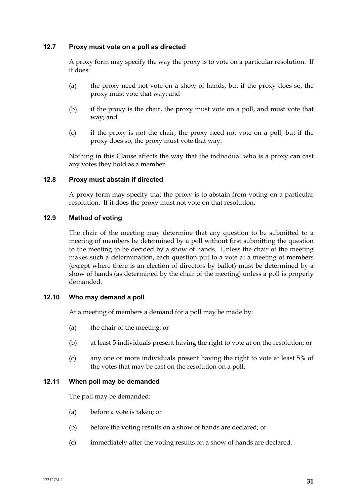## **12.7 Proxy must vote on a poll as directed**

A proxy form may specify the way the proxy is to vote on a particular resolution. If it does:

- (a) the proxy need not vote on a show of hands, but if the proxy does so, the proxy must vote that way; and
- (b) if the proxy is the chair, the proxy must vote on a poll, and must vote that way; and
- (c) if the proxy is not the chair, the proxy need not vote on a poll, but if the proxy does so, the proxy must vote that way.

Nothing in this Clause affects the way that the individual who is a proxy can cast any votes they hold as a member.

## **12.8 Proxy must abstain if directed**

A proxy form may specify that the proxy is to abstain from voting on a particular resolution. If it does the proxy must not vote on that resolution.

## **12.9 Method of voting**

The chair of the meeting may determine that any question to be submitted to a meeting of members be determined by a poll without first submitting the question to the meeting to be decided by a show of hands. Unless the chair of the meeting makes such a determination, each question put to a vote at a meeting of members (except where there is an election of directors by ballot) must be determined by a show of hands (as determined by the chair of the meeting) unless a poll is properly demanded.

#### **12.10 Who may demand a poll**

At a meeting of members a demand for a poll may be made by:

- (a) the chair of the meeting; or
- (b) at least 5 individuals present having the right to vote at on the resolution; or
- (c) any one or more individuals present having the right to vote at least 5% of the votes that may be cast on the resolution on a poll.

#### **12.11 When poll may be demanded**

The poll may be demanded:

- (a) before a vote is taken; or
- (b) before the voting results on a show of hands are declared; or
- (c) immediately after the voting results on a show of hands are declared.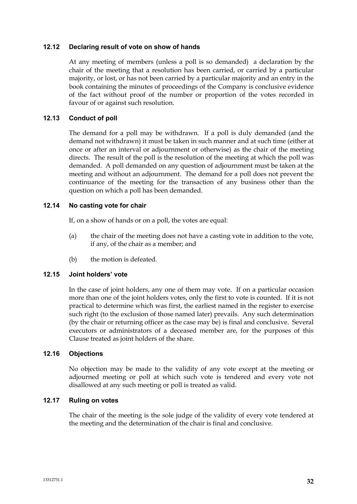## **12.12 Declaring result of vote on show of hands**

At any meeting of members (unless a poll is so demanded) a declaration by the chair of the meeting that a resolution has been carried, or carried by a particular majority, or lost, or has not been carried by a particular majority and an entry in the book containing the minutes of proceedings of the Company is conclusive evidence of the fact without proof of the number or proportion of the votes recorded in favour of or against such resolution.

# **12.13 Conduct of poll**

The demand for a poll may be withdrawn. If a poll is duly demanded (and the demand not withdrawn) it must be taken in such manner and at such time (either at once or after an interval or adjournment or otherwise) as the chair of the meeting directs. The result of the poll is the resolution of the meeting at which the poll was demanded. A poll demanded on any question of adjournment must be taken at the meeting and without an adjournment. The demand for a poll does not prevent the continuance of the meeting for the transaction of any business other than the question on which a poll has been demanded.

## **12.14 No casting vote for chair**

If, on a show of hands or on a poll, the votes are equal:

- (a) the chair of the meeting does not have a casting vote in addition to the vote, if any, of the chair as a member; and
- (b) the motion is defeated.

#### **12.15 Joint holders' vote**

In the case of joint holders, any one of them may vote. If on a particular occasion more than one of the joint holders votes, only the first to vote is counted. If it is not practical to determine which was first, the earliest named in the register to exercise such right (to the exclusion of those named later) prevails. Any such determination (by the chair or returning officer as the case may be) is final and conclusive. Several executors or administrators of a deceased member are, for the purposes of this Clause treated as joint holders of the share.

#### **12.16 Objections**

No objection may be made to the validity of any vote except at the meeting or adjourned meeting or poll at which such vote is tendered and every vote not disallowed at any such meeting or poll is treated as valid.

#### **12.17 Ruling on votes**

The chair of the meeting is the sole judge of the validity of every vote tendered at the meeting and the determination of the chair is final and conclusive.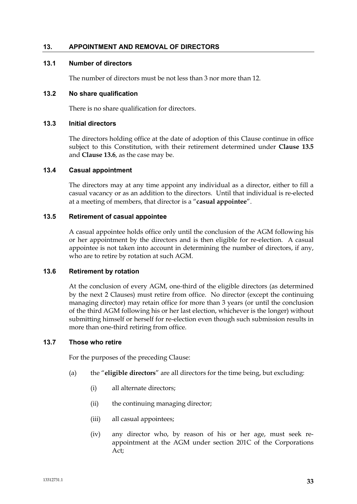## **13. APPOINTMENT AND REMOVAL OF DIRECTORS**

## **13.1 Number of directors**

The number of directors must be not less than 3 nor more than 12.

#### **13.2 No share qualification**

There is no share qualification for directors.

## **13.3 Initial directors**

The directors holding office at the date of adoption of this Clause continue in office subject to this Constitution, with their retirement determined under **Clause 13.5** and **Clause 13.6**, as the case may be.

#### **13.4 Casual appointment**

The directors may at any time appoint any individual as a director, either to fill a casual vacancy or as an addition to the directors. Until that individual is re-elected at a meeting of members, that director is a "**casual appointee**".

#### **13.5 Retirement of casual appointee**

A casual appointee holds office only until the conclusion of the AGM following his or her appointment by the directors and is then eligible for re-election. A casual appointee is not taken into account in determining the number of directors, if any, who are to retire by rotation at such AGM.

#### **13.6 Retirement by rotation**

At the conclusion of every AGM, one-third of the eligible directors (as determined by the next 2 Clauses) must retire from office. No director (except the continuing managing director) may retain office for more than 3 years (or until the conclusion of the third AGM following his or her last election, whichever is the longer) without submitting himself or herself for re-election even though such submission results in more than one-third retiring from office.

#### **13.7 Those who retire**

For the purposes of the preceding Clause:

- (a) the "**eligible directors**" are all directors for the time being, but excluding:
	- (i) all alternate directors;
	- (ii) the continuing managing director;
	- (iii) all casual appointees;
	- (iv) any director who, by reason of his or her age, must seek reappointment at the AGM under section 201C of the Corporations Act;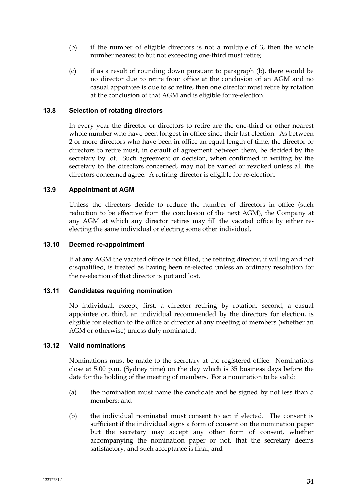- (b) if the number of eligible directors is not a multiple of 3, then the whole number nearest to but not exceeding one-third must retire;
- (c) if as a result of rounding down pursuant to paragraph (b), there would be no director due to retire from office at the conclusion of an AGM and no casual appointee is due to so retire, then one director must retire by rotation at the conclusion of that AGM and is eligible for re-election.

## **13.8 Selection of rotating directors**

In every year the director or directors to retire are the one-third or other nearest whole number who have been longest in office since their last election. As between 2 or more directors who have been in office an equal length of time, the director or directors to retire must, in default of agreement between them, be decided by the secretary by lot. Such agreement or decision, when confirmed in writing by the secretary to the directors concerned, may not be varied or revoked unless all the directors concerned agree. A retiring director is eligible for re-election.

## **13.9 Appointment at AGM**

Unless the directors decide to reduce the number of directors in office (such reduction to be effective from the conclusion of the next AGM), the Company at any AGM at which any director retires may fill the vacated office by either reelecting the same individual or electing some other individual.

#### **13.10 Deemed re-appointment**

If at any AGM the vacated office is not filled, the retiring director, if willing and not disqualified, is treated as having been re-elected unless an ordinary resolution for the re-election of that director is put and lost.

#### **13.11 Candidates requiring nomination**

No individual, except, first, a director retiring by rotation, second, a casual appointee or, third, an individual recommended by the directors for election, is eligible for election to the office of director at any meeting of members (whether an AGM or otherwise) unless duly nominated.

#### **13.12 Valid nominations**

Nominations must be made to the secretary at the registered office. Nominations close at 5.00 p.m. (Sydney time) on the day which is 35 business days before the date for the holding of the meeting of members. For a nomination to be valid:

- (a) the nomination must name the candidate and be signed by not less than 5 members; and
- (b) the individual nominated must consent to act if elected. The consent is sufficient if the individual signs a form of consent on the nomination paper but the secretary may accept any other form of consent, whether accompanying the nomination paper or not, that the secretary deems satisfactory, and such acceptance is final; and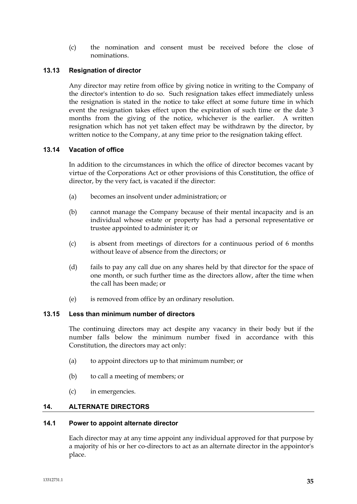(c) the nomination and consent must be received before the close of nominations.

# **13.13 Resignation of director**

Any director may retire from office by giving notice in writing to the Company of the director's intention to do so. Such resignation takes effect immediately unless the resignation is stated in the notice to take effect at some future time in which event the resignation takes effect upon the expiration of such time or the date 3 months from the giving of the notice, whichever is the earlier. A written resignation which has not yet taken effect may be withdrawn by the director, by written notice to the Company, at any time prior to the resignation taking effect.

# **13.14 Vacation of office**

In addition to the circumstances in which the office of director becomes vacant by virtue of the Corporations Act or other provisions of this Constitution, the office of director, by the very fact, is vacated if the director:

- (a) becomes an insolvent under administration; or
- (b) cannot manage the Company because of their mental incapacity and is an individual whose estate or property has had a personal representative or trustee appointed to administer it; or
- (c) is absent from meetings of directors for a continuous period of 6 months without leave of absence from the directors; or
- (d) fails to pay any call due on any shares held by that director for the space of one month, or such further time as the directors allow, after the time when the call has been made; or
- (e) is removed from office by an ordinary resolution.

# **13.15 Less than minimum number of directors**

The continuing directors may act despite any vacancy in their body but if the number falls below the minimum number fixed in accordance with this Constitution, the directors may act only:

- (a) to appoint directors up to that minimum number; or
- (b) to call a meeting of members; or
- (c) in emergencies.

# **14. ALTERNATE DIRECTORS**

#### **14.1 Power to appoint alternate director**

Each director may at any time appoint any individual approved for that purpose by a majority of his or her co-directors to act as an alternate director in the appointor's place.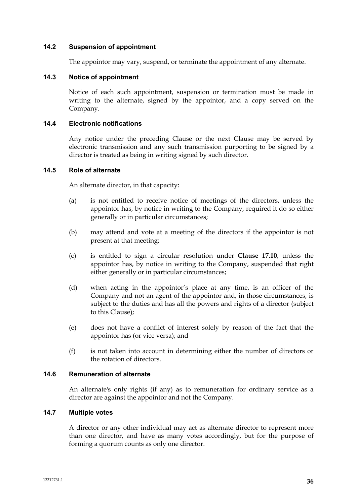### **14.2 Suspension of appointment**

The appointor may vary, suspend, or terminate the appointment of any alternate.

### **14.3 Notice of appointment**

Notice of each such appointment, suspension or termination must be made in writing to the alternate, signed by the appointor, and a copy served on the Company.

### **14.4 Electronic notifications**

Any notice under the preceding Clause or the next Clause may be served by electronic transmission and any such transmission purporting to be signed by a director is treated as being in writing signed by such director.

### **14.5 Role of alternate**

An alternate director, in that capacity:

- (a) is not entitled to receive notice of meetings of the directors, unless the appointor has, by notice in writing to the Company, required it do so either generally or in particular circumstances;
- (b) may attend and vote at a meeting of the directors if the appointor is not present at that meeting;
- (c) is entitled to sign a circular resolution under **Clause 17.10**, unless the appointor has, by notice in writing to the Company, suspended that right either generally or in particular circumstances;
- (d) when acting in the appointor's place at any time, is an officer of the Company and not an agent of the appointor and, in those circumstances, is subject to the duties and has all the powers and rights of a director (subject to this Clause);
- (e) does not have a conflict of interest solely by reason of the fact that the appointor has (or vice versa); and
- (f) is not taken into account in determining either the number of directors or the rotation of directors.

# **14.6 Remuneration of alternate**

An alternate's only rights (if any) as to remuneration for ordinary service as a director are against the appointor and not the Company.

### **14.7 Multiple votes**

A director or any other individual may act as alternate director to represent more than one director, and have as many votes accordingly, but for the purpose of forming a quorum counts as only one director.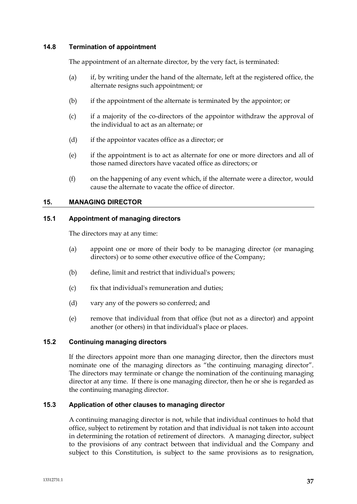### **14.8 Termination of appointment**

The appointment of an alternate director, by the very fact, is terminated:

- (a) if, by writing under the hand of the alternate, left at the registered office, the alternate resigns such appointment; or
- (b) if the appointment of the alternate is terminated by the appointor; or
- (c) if a majority of the co-directors of the appointor withdraw the approval of the individual to act as an alternate; or
- (d) if the appointor vacates office as a director; or
- (e) if the appointment is to act as alternate for one or more directors and all of those named directors have vacated office as directors; or
- (f) on the happening of any event which, if the alternate were a director, would cause the alternate to vacate the office of director.

### **15. MANAGING DIRECTOR**

### **15.1 Appointment of managing directors**

The directors may at any time:

- (a) appoint one or more of their body to be managing director (or managing directors) or to some other executive office of the Company;
- (b) define, limit and restrict that individual's powers;
- (c) fix that individual's remuneration and duties;
- (d) vary any of the powers so conferred; and
- (e) remove that individual from that office (but not as a director) and appoint another (or others) in that individual's place or places.

# **15.2 Continuing managing directors**

If the directors appoint more than one managing director, then the directors must nominate one of the managing directors as "the continuing managing director". The directors may terminate or change the nomination of the continuing managing director at any time. If there is one managing director, then he or she is regarded as the continuing managing director.

#### **15.3 Application of other clauses to managing director**

A continuing managing director is not, while that individual continues to hold that office, subject to retirement by rotation and that individual is not taken into account in determining the rotation of retirement of directors. A managing director, subject to the provisions of any contract between that individual and the Company and subject to this Constitution, is subject to the same provisions as to resignation,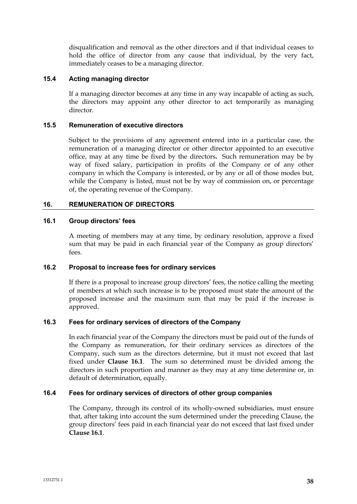disqualification and removal as the other directors and if that individual ceases to hold the office of director from any cause that individual, by the very fact, immediately ceases to be a managing director.

# **15.4 Acting managing director**

If a managing director becomes at any time in any way incapable of acting as such, the directors may appoint any other director to act temporarily as managing director.

### **15.5 Remuneration of executive directors**

Subject to the provisions of any agreement entered into in a particular case, the remuneration of a managing director or other director appointed to an executive office, may at any time be fixed by the directors**.** Such remuneration may be by way of fixed salary, participation in profits of the Company or of any other company in which the Company is interested, or by any or all of those modes but, while the Company is listed, must not be by way of commission on, or percentage of, the operating revenue of the Company.

# **16. REMUNERATION OF DIRECTORS**

### **16.1 Group directors' fees**

A meeting of members may at any time, by ordinary resolution, approve a fixed sum that may be paid in each financial year of the Company as group directors' fees.

# **16.2 Proposal to increase fees for ordinary services**

If there is a proposal to increase group directors' fees, the notice calling the meeting of members at which such increase is to be proposed must state the amount of the proposed increase and the maximum sum that may be paid if the increase is approved.

# **16.3 Fees for ordinary services of directors of the Company**

In each financial year of the Company the directors must be paid out of the funds of the Company as remuneration, for their ordinary services as directors of the Company, such sum as the directors determine, but it must not exceed that last fixed under **Clause 16.1**. The sum so determined must be divided among the directors in such proportion and manner as they may at any time determine or, in default of determination, equally.

# **16.4 Fees for ordinary services of directors of other group companies**

The Company, through its control of its wholly-owned subsidiaries, must ensure that, after taking into account the sum determined under the preceding Clause, the group directors' fees paid in each financial year do not exceed that last fixed under **Clause 16.1**.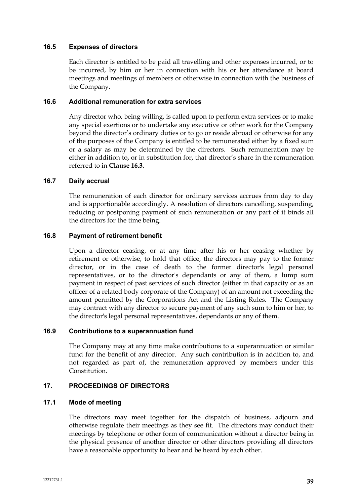### **16.5 Expenses of directors**

Each director is entitled to be paid all travelling and other expenses incurred, or to be incurred, by him or her in connection with his or her attendance at board meetings and meetings of members or otherwise in connection with the business of the Company.

### **16.6 Additional remuneration for extra services**

Any director who, being willing, is called upon to perform extra services or to make any special exertions or to undertake any executive or other work for the Company beyond the director's ordinary duties or to go or reside abroad or otherwise for any of the purposes of the Company is entitled to be remunerated either by a fixed sum or a salary as may be determined by the directors. Such remuneration may be either in addition to**,** or in substitution for**,** that director's share in the remuneration referred to in **Clause 16.3**.

### **16.7 Daily accrual**

The remuneration of each director for ordinary services accrues from day to day and is apportionable accordingly. A resolution of directors cancelling, suspending, reducing or postponing payment of such remuneration or any part of it binds all the directors for the time being.

### **16.8 Payment of retirement benefit**

Upon a director ceasing, or at any time after his or her ceasing whether by retirement or otherwise, to hold that office, the directors may pay to the former director, or in the case of death to the former director's legal personal representatives, or to the director's dependants or any of them, a lump sum payment in respect of past services of such director (either in that capacity or as an officer of a related body corporate of the Company) of an amount not exceeding the amount permitted by the Corporations Act and the Listing Rules. The Company may contract with any director to secure payment of any such sum to him or her, to the director's legal personal representatives, dependants or any of them.

#### **16.9 Contributions to a superannuation fund**

The Company may at any time make contributions to a superannuation or similar fund for the benefit of any director. Any such contribution is in addition to, and not regarded as part of, the remuneration approved by members under this Constitution.

# **17. PROCEEDINGS OF DIRECTORS**

### **17.1 Mode of meeting**

The directors may meet together for the dispatch of business, adjourn and otherwise regulate their meetings as they see fit. The directors may conduct their meetings by telephone or other form of communication without a director being in the physical presence of another director or other directors providing all directors have a reasonable opportunity to hear and be heard by each other.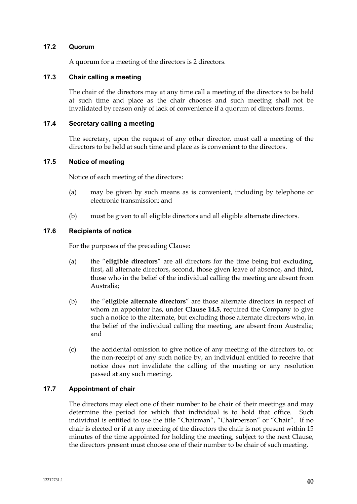### **17.2 Quorum**

A quorum for a meeting of the directors is 2 directors.

# **17.3 Chair calling a meeting**

The chair of the directors may at any time call a meeting of the directors to be held at such time and place as the chair chooses and such meeting shall not be invalidated by reason only of lack of convenience if a quorum of directors forms.

# **17.4 Secretary calling a meeting**

The secretary, upon the request of any other director, must call a meeting of the directors to be held at such time and place as is convenient to the directors.

### **17.5 Notice of meeting**

Notice of each meeting of the directors:

- (a) may be given by such means as is convenient, including by telephone or electronic transmission; and
- (b) must be given to all eligible directors and all eligible alternate directors.

### **17.6 Recipients of notice**

For the purposes of the preceding Clause:

- (a) the "**eligible directors**" are all directors for the time being but excluding, first, all alternate directors, second, those given leave of absence, and third, those who in the belief of the individual calling the meeting are absent from Australia;
- (b) the "**eligible alternate directors**" are those alternate directors in respect of whom an appointor has, under **Clause 14.5**, required the Company to give such a notice to the alternate, but excluding those alternate directors who, in the belief of the individual calling the meeting, are absent from Australia; and
- (c) the accidental omission to give notice of any meeting of the directors to, or the non-receipt of any such notice by, an individual entitled to receive that notice does not invalidate the calling of the meeting or any resolution passed at any such meeting.

# **17.7 Appointment of chair**

The directors may elect one of their number to be chair of their meetings and may determine the period for which that individual is to hold that office. Such individual is entitled to use the title "Chairman", "Chairperson" or "Chair". If no chair is elected or if at any meeting of the directors the chair is not present within 15 minutes of the time appointed for holding the meeting, subject to the next Clause, the directors present must choose one of their number to be chair of such meeting.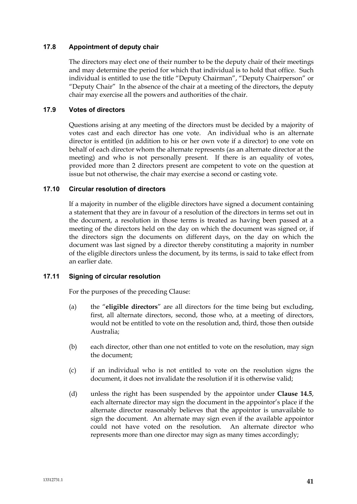# **17.8 Appointment of deputy chair**

The directors may elect one of their number to be the deputy chair of their meetings and may determine the period for which that individual is to hold that office. Such individual is entitled to use the title "Deputy Chairman", "Deputy Chairperson" or "Deputy Chair" In the absence of the chair at a meeting of the directors, the deputy chair may exercise all the powers and authorities of the chair.

### **17.9 Votes of directors**

Questions arising at any meeting of the directors must be decided by a majority of votes cast and each director has one vote. An individual who is an alternate director is entitled (in addition to his or her own vote if a director) to one vote on behalf of each director whom the alternate represents (as an alternate director at the meeting) and who is not personally present. If there is an equality of votes, provided more than 2 directors present are competent to vote on the question at issue but not otherwise, the chair may exercise a second or casting vote.

### **17.10 Circular resolution of directors**

If a majority in number of the eligible directors have signed a document containing a statement that they are in favour of a resolution of the directors in terms set out in the document, a resolution in those terms is treated as having been passed at a meeting of the directors held on the day on which the document was signed or, if the directors sign the documents on different days, on the day on which the document was last signed by a director thereby constituting a majority in number of the eligible directors unless the document, by its terms, is said to take effect from an earlier date.

# **17.11 Signing of circular resolution**

For the purposes of the preceding Clause:

- (a) the "**eligible directors**" are all directors for the time being but excluding, first, all alternate directors, second, those who, at a meeting of directors, would not be entitled to vote on the resolution and, third, those then outside Australia;
- (b) each director, other than one not entitled to vote on the resolution, may sign the document;
- (c) if an individual who is not entitled to vote on the resolution signs the document, it does not invalidate the resolution if it is otherwise valid;
- (d) unless the right has been suspended by the appointor under **Clause 14.5**, each alternate director may sign the document in the appointor's place if the alternate director reasonably believes that the appointor is unavailable to sign the document. An alternate may sign even if the available appointor could not have voted on the resolution. An alternate director who represents more than one director may sign as many times accordingly;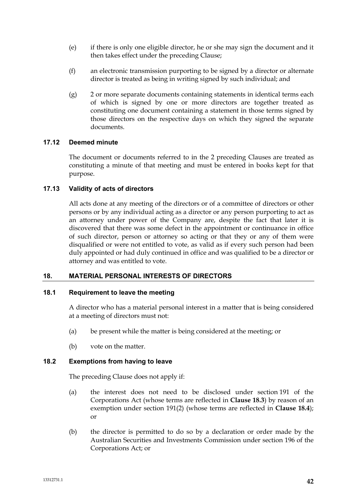- (e) if there is only one eligible director, he or she may sign the document and it then takes effect under the preceding Clause;
- (f) an electronic transmission purporting to be signed by a director or alternate director is treated as being in writing signed by such individual; and
- (g) 2 or more separate documents containing statements in identical terms each of which is signed by one or more directors are together treated as constituting one document containing a statement in those terms signed by those directors on the respective days on which they signed the separate documents.

# **17.12 Deemed minute**

The document or documents referred to in the 2 preceding Clauses are treated as constituting a minute of that meeting and must be entered in books kept for that purpose.

# **17.13 Validity of acts of directors**

All acts done at any meeting of the directors or of a committee of directors or other persons or by any individual acting as a director or any person purporting to act as an attorney under power of the Company are, despite the fact that later it is discovered that there was some defect in the appointment or continuance in office of such director, person or attorney so acting or that they or any of them were disqualified or were not entitled to vote, as valid as if every such person had been duly appointed or had duly continued in office and was qualified to be a director or attorney and was entitled to vote.

# **18. MATERIAL PERSONAL INTERESTS OF DIRECTORS**

#### **18.1 Requirement to leave the meeting**

A director who has a material personal interest in a matter that is being considered at a meeting of directors must not:

- (a) be present while the matter is being considered at the meeting; or
- (b) vote on the matter.

# **18.2 Exemptions from having to leave**

The preceding Clause does not apply if:

- (a) the interest does not need to be disclosed under section 191 of the Corporations Act (whose terms are reflected in **Clause 18.3**) by reason of an exemption under section 191(2) (whose terms are reflected in **Clause 18.4**); or
- (b) the director is permitted to do so by a declaration or order made by the Australian Securities and Investments Commission under section 196 of the Corporations Act; or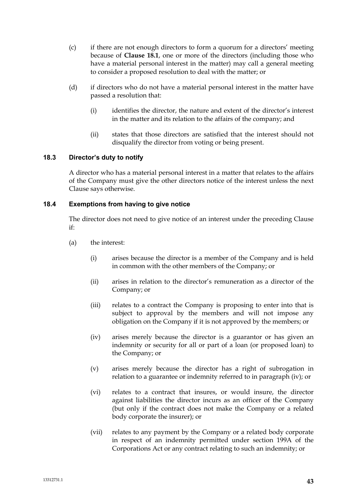- (c) if there are not enough directors to form a quorum for a directors' meeting because of **Clause 18.1**, one or more of the directors (including those who have a material personal interest in the matter) may call a general meeting to consider a proposed resolution to deal with the matter; or
- (d) if directors who do not have a material personal interest in the matter have passed a resolution that:
	- (i) identifies the director, the nature and extent of the director's interest in the matter and its relation to the affairs of the company; and
	- (ii) states that those directors are satisfied that the interest should not disqualify the director from voting or being present.

# **18.3 Director's duty to notify**

A director who has a material personal interest in a matter that relates to the affairs of the Company must give the other directors notice of the interest unless the next Clause says otherwise.

### **18.4 Exemptions from having to give notice**

The director does not need to give notice of an interest under the preceding Clause if:

- (a) the interest:
	- (i) arises because the director is a member of the Company and is held in common with the other members of the Company; or
	- (ii) arises in relation to the director's remuneration as a director of the Company; or
	- (iii) relates to a contract the Company is proposing to enter into that is subject to approval by the members and will not impose any obligation on the Company if it is not approved by the members; or
	- (iv) arises merely because the director is a guarantor or has given an indemnity or security for all or part of a loan (or proposed loan) to the Company; or
	- (v) arises merely because the director has a right of subrogation in relation to a guarantee or indemnity referred to in paragraph (iv); or
	- (vi) relates to a contract that insures, or would insure, the director against liabilities the director incurs as an officer of the Company (but only if the contract does not make the Company or a related body corporate the insurer); or
	- (vii) relates to any payment by the Company or a related body corporate in respect of an indemnity permitted under section 199A of the Corporations Act or any contract relating to such an indemnity; or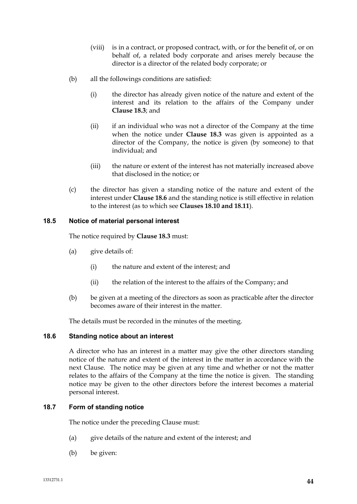- (viii) is in a contract, or proposed contract, with, or for the benefit of, or on behalf of, a related body corporate and arises merely because the director is a director of the related body corporate; or
- (b) all the followings conditions are satisfied:
	- (i) the director has already given notice of the nature and extent of the interest and its relation to the affairs of the Company under **Clause 18.3**; and
	- (ii) if an individual who was not a director of the Company at the time when the notice under **Clause 18.3** was given is appointed as a director of the Company, the notice is given (by someone) to that individual; and
	- (iii) the nature or extent of the interest has not materially increased above that disclosed in the notice; or
- (c) the director has given a standing notice of the nature and extent of the interest under **Clause 18.6** and the standing notice is still effective in relation to the interest (as to which see **Clauses 18.10 and 18.11**).

# **18.5 Notice of material personal interest**

The notice required by **Clause 18.3** must:

- (a) give details of:
	- (i) the nature and extent of the interest; and
	- (ii) the relation of the interest to the affairs of the Company; and
- (b) be given at a meeting of the directors as soon as practicable after the director becomes aware of their interest in the matter.

The details must be recorded in the minutes of the meeting.

# **18.6 Standing notice about an interest**

A director who has an interest in a matter may give the other directors standing notice of the nature and extent of the interest in the matter in accordance with the next Clause. The notice may be given at any time and whether or not the matter relates to the affairs of the Company at the time the notice is given. The standing notice may be given to the other directors before the interest becomes a material personal interest.

# **18.7 Form of standing notice**

The notice under the preceding Clause must:

- (a) give details of the nature and extent of the interest; and
- (b) be given: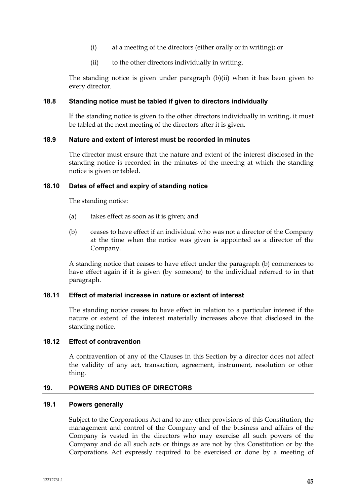- (i) at a meeting of the directors (either orally or in writing); or
- (ii) to the other directors individually in writing.

The standing notice is given under paragraph (b)(ii) when it has been given to every director.

### **18.8 Standing notice must be tabled if given to directors individually**

If the standing notice is given to the other directors individually in writing, it must be tabled at the next meeting of the directors after it is given.

### **18.9 Nature and extent of interest must be recorded in minutes**

The director must ensure that the nature and extent of the interest disclosed in the standing notice is recorded in the minutes of the meeting at which the standing notice is given or tabled.

### **18.10 Dates of effect and expiry of standing notice**

The standing notice:

- (a) takes effect as soon as it is given; and
- (b) ceases to have effect if an individual who was not a director of the Company at the time when the notice was given is appointed as a director of the Company.

A standing notice that ceases to have effect under the paragraph (b) commences to have effect again if it is given (by someone) to the individual referred to in that paragraph.

#### **18.11 Effect of material increase in nature or extent of interest**

The standing notice ceases to have effect in relation to a particular interest if the nature or extent of the interest materially increases above that disclosed in the standing notice.

# **18.12 Effect of contravention**

A contravention of any of the Clauses in this Section by a director does not affect the validity of any act, transaction, agreement, instrument, resolution or other thing.

#### **19. POWERS AND DUTIES OF DIRECTORS**

### **19.1 Powers generally**

Subject to the Corporations Act and to any other provisions of this Constitution, the management and control of the Company and of the business and affairs of the Company is vested in the directors who may exercise all such powers of the Company and do all such acts or things as are not by this Constitution or by the Corporations Act expressly required to be exercised or done by a meeting of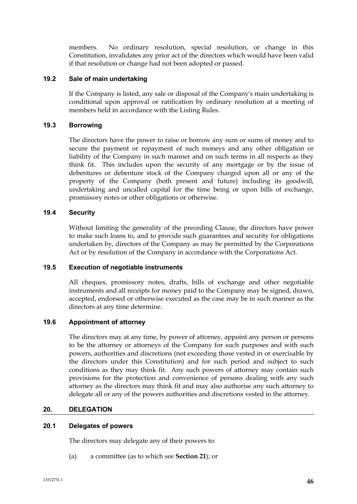members. No ordinary resolution, special resolution, or change in this Constitution, invalidates any prior act of the directors which would have been valid if that resolution or change had not been adopted or passed.

# **19.2 Sale of main undertaking**

If the Company is listed, any sale or disposal of the Company's main undertaking is conditional upon approval or ratification by ordinary resolution at a meeting of members held in accordance with the Listing Rules.

# **19.3 Borrowing**

The directors have the power to raise or borrow any sum or sums of money and to secure the payment or repayment of such moneys and any other obligation or liability of the Company in such manner and on such terms in all respects as they think fit. This includes upon the security of any mortgage or by the issue of debentures or debenture stock of the Company charged upon all or any of the property of the Company (both present and future) including its goodwill, undertaking and uncalled capital for the time being or upon bills of exchange, promissory notes or other obligations or otherwise.

# **19.4 Security**

Without limiting the generality of the preceding Clause, the directors have power to make such loans to, and to provide such guarantees and security for obligations undertaken by, directors of the Company as may be permitted by the Corporations Act or by resolution of the Company in accordance with the Corporations Act.

# **19.5 Execution of negotiable instruments**

All cheques, promissory notes, drafts, bills of exchange and other negotiable instruments and all receipts for money paid to the Company may be signed, drawn, accepted, endorsed or otherwise executed as the case may be in such manner as the directors at any time determine.

# **19.6 Appointment of attorney**

The directors may at any time, by power of attorney, appoint any person or persons to be the attorney or attorneys of the Company for such purposes and with such powers, authorities and discretions (not exceeding those vested in or exercisable by the directors under this Constitution) and for such period and subject to such conditions as they may think fit. Any such powers of attorney may contain such provisions for the protection and convenience of persons dealing with any such attorney as the directors may think fit and may also authorise any such attorney to delegate all or any of the powers authorities and discretions vested in the attorney.

# **20. DELEGATION**

# **20.1 Delegates of powers**

The directors may delegate any of their powers to:

(a) a committee (as to which see **Section 21**); or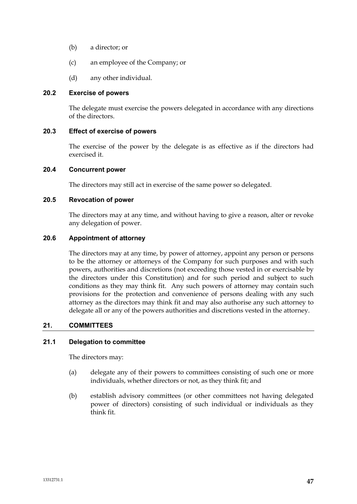- (b) a director; or
- (c) an employee of the Company; or
- (d) any other individual.

### **20.2 Exercise of powers**

The delegate must exercise the powers delegated in accordance with any directions of the directors.

# **20.3 Effect of exercise of powers**

The exercise of the power by the delegate is as effective as if the directors had exercised it.

### **20.4 Concurrent power**

The directors may still act in exercise of the same power so delegated.

### **20.5 Revocation of power**

The directors may at any time, and without having to give a reason, alter or revoke any delegation of power.

### **20.6 Appointment of attorney**

The directors may at any time, by power of attorney, appoint any person or persons to be the attorney or attorneys of the Company for such purposes and with such powers, authorities and discretions (not exceeding those vested in or exercisable by the directors under this Constitution) and for such period and subject to such conditions as they may think fit. Any such powers of attorney may contain such provisions for the protection and convenience of persons dealing with any such attorney as the directors may think fit and may also authorise any such attorney to delegate all or any of the powers authorities and discretions vested in the attorney.

# **21. COMMITTEES**

# **21.1 Delegation to committee**

The directors may:

- (a) delegate any of their powers to committees consisting of such one or more individuals, whether directors or not, as they think fit; and
- (b) establish advisory committees (or other committees not having delegated power of directors) consisting of such individual or individuals as they think fit.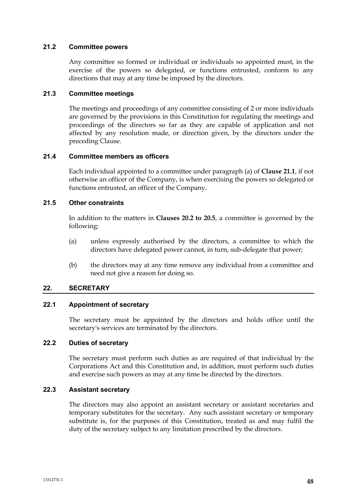### **21.2 Committee powers**

Any committee so formed or individual or individuals so appointed must, in the exercise of the powers so delegated, or functions entrusted, conform to any directions that may at any time be imposed by the directors.

# **21.3 Committee meetings**

The meetings and proceedings of any committee consisting of 2 or more individuals are governed by the provisions in this Constitution for regulating the meetings and proceedings of the directors so far as they are capable of application and not affected by any resolution made, or direction given, by the directors under the preceding Clause.

# **21.4 Committee members as officers**

Each individual appointed to a committee under paragraph (a) of **Clause 21.1**, if not otherwise an officer of the Company, is when exercising the powers so delegated or functions entrusted, an officer of the Company.

### **21.5 Other constraints**

In addition to the matters in **Clauses 20.2 to 20.5**, a committee is governed by the following:

- (a) unless expressly authorised by the directors, a committee to which the directors have delegated power cannot, in turn, sub-delegate that power;
- (b) the directors may at any time remove any individual from a committee and need not give a reason for doing so.

# **22. SECRETARY**

# **22.1 Appointment of secretary**

The secretary must be appointed by the directors and holds office until the secretary's services are terminated by the directors.

#### **22.2 Duties of secretary**

The secretary must perform such duties as are required of that individual by the Corporations Act and this Constitution and, in addition, must perform such duties and exercise such powers as may at any time be directed by the directors.

# **22.3 Assistant secretary**

The directors may also appoint an assistant secretary or assistant secretaries and temporary substitutes for the secretary. Any such assistant secretary or temporary substitute is, for the purposes of this Constitution, treated as and may fulfil the duty of the secretary subject to any limitation prescribed by the directors.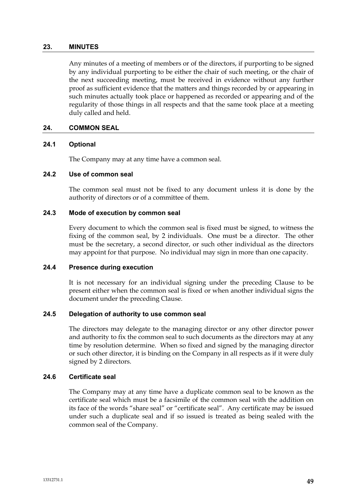#### **23. MINUTES**

Any minutes of a meeting of members or of the directors, if purporting to be signed by any individual purporting to be either the chair of such meeting, or the chair of the next succeeding meeting, must be received in evidence without any further proof as sufficient evidence that the matters and things recorded by or appearing in such minutes actually took place or happened as recorded or appearing and of the regularity of those things in all respects and that the same took place at a meeting duly called and held.

### **24. COMMON SEAL**

#### **24.1 Optional**

The Company may at any time have a common seal.

### **24.2 Use of common seal**

The common seal must not be fixed to any document unless it is done by the authority of directors or of a committee of them.

### **24.3 Mode of execution by common seal**

Every document to which the common seal is fixed must be signed, to witness the fixing of the common seal, by 2 individuals. One must be a director. The other must be the secretary, a second director, or such other individual as the directors may appoint for that purpose. No individual may sign in more than one capacity.

# **24.4 Presence during execution**

It is not necessary for an individual signing under the preceding Clause to be present either when the common seal is fixed or when another individual signs the document under the preceding Clause.

#### **24.5 Delegation of authority to use common seal**

The directors may delegate to the managing director or any other director power and authority to fix the common seal to such documents as the directors may at any time by resolution determine. When so fixed and signed by the managing director or such other director, it is binding on the Company in all respects as if it were duly signed by 2 directors.

# **24.6 Certificate seal**

The Company may at any time have a duplicate common seal to be known as the certificate seal which must be a facsimile of the common seal with the addition on its face of the words "share seal" or "certificate seal". Any certificate may be issued under such a duplicate seal and if so issued is treated as being sealed with the common seal of the Company.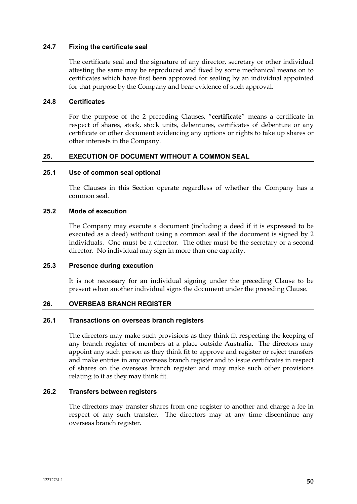### **24.7 Fixing the certificate seal**

The certificate seal and the signature of any director, secretary or other individual attesting the same may be reproduced and fixed by some mechanical means on to certificates which have first been approved for sealing by an individual appointed for that purpose by the Company and bear evidence of such approval.

### **24.8 Certificates**

For the purpose of the 2 preceding Clauses, "**certificate**" means a certificate in respect of shares, stock, stock units, debentures, certificates of debenture or any certificate or other document evidencing any options or rights to take up shares or other interests in the Company.

### **25. EXECUTION OF DOCUMENT WITHOUT A COMMON SEAL**

### **25.1 Use of common seal optional**

The Clauses in this Section operate regardless of whether the Company has a common seal.

### **25.2 Mode of execution**

The Company may execute a document (including a deed if it is expressed to be executed as a deed) without using a common seal if the document is signed by 2 individuals. One must be a director. The other must be the secretary or a second director. No individual may sign in more than one capacity.

#### **25.3 Presence during execution**

It is not necessary for an individual signing under the preceding Clause to be present when another individual signs the document under the preceding Clause.

#### **26. OVERSEAS BRANCH REGISTER**

#### **26.1 Transactions on overseas branch registers**

The directors may make such provisions as they think fit respecting the keeping of any branch register of members at a place outside Australia. The directors may appoint any such person as they think fit to approve and register or reject transfers and make entries in any overseas branch register and to issue certificates in respect of shares on the overseas branch register and may make such other provisions relating to it as they may think fit.

### **26.2 Transfers between registers**

The directors may transfer shares from one register to another and charge a fee in respect of any such transfer. The directors may at any time discontinue any overseas branch register.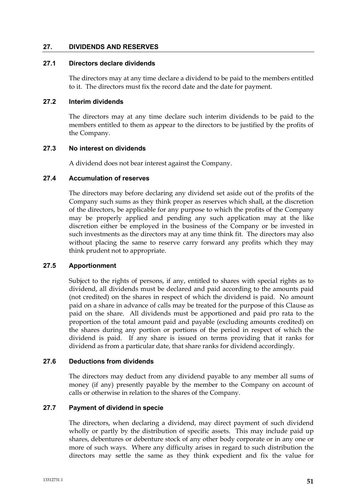### **27. DIVIDENDS AND RESERVES**

### **27.1 Directors declare dividends**

The directors may at any time declare a dividend to be paid to the members entitled to it. The directors must fix the record date and the date for payment.

### **27.2 Interim dividends**

The directors may at any time declare such interim dividends to be paid to the members entitled to them as appear to the directors to be justified by the profits of the Company.

### **27.3 No interest on dividends**

A dividend does not bear interest against the Company.

### **27.4 Accumulation of reserves**

The directors may before declaring any dividend set aside out of the profits of the Company such sums as they think proper as reserves which shall, at the discretion of the directors, be applicable for any purpose to which the profits of the Company may be properly applied and pending any such application may at the like discretion either be employed in the business of the Company or be invested in such investments as the directors may at any time think fit. The directors may also without placing the same to reserve carry forward any profits which they may think prudent not to appropriate.

# **27.5 Apportionment**

Subject to the rights of persons, if any, entitled to shares with special rights as to dividend, all dividends must be declared and paid according to the amounts paid (not credited) on the shares in respect of which the dividend is paid. No amount paid on a share in advance of calls may be treated for the purpose of this Clause as paid on the share. All dividends must be apportioned and paid pro rata to the proportion of the total amount paid and payable (excluding amounts credited) on the shares during any portion or portions of the period in respect of which the dividend is paid. If any share is issued on terms providing that it ranks for dividend as from a particular date, that share ranks for dividend accordingly.

# **27.6 Deductions from dividends**

The directors may deduct from any dividend payable to any member all sums of money (if any) presently payable by the member to the Company on account of calls or otherwise in relation to the shares of the Company.

# **27.7 Payment of dividend in specie**

The directors, when declaring a dividend, may direct payment of such dividend wholly or partly by the distribution of specific assets. This may include paid up shares, debentures or debenture stock of any other body corporate or in any one or more of such ways. Where any difficulty arises in regard to such distribution the directors may settle the same as they think expedient and fix the value for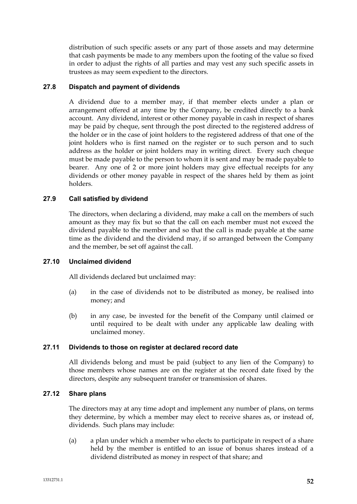distribution of such specific assets or any part of those assets and may determine that cash payments be made to any members upon the footing of the value so fixed in order to adjust the rights of all parties and may vest any such specific assets in trustees as may seem expedient to the directors.

# **27.8 Dispatch and payment of dividends**

A dividend due to a member may, if that member elects under a plan or arrangement offered at any time by the Company, be credited directly to a bank account. Any dividend, interest or other money payable in cash in respect of shares may be paid by cheque, sent through the post directed to the registered address of the holder or in the case of joint holders to the registered address of that one of the joint holders who is first named on the register or to such person and to such address as the holder or joint holders may in writing direct. Every such cheque must be made payable to the person to whom it is sent and may be made payable to bearer. Any one of 2 or more joint holders may give effectual receipts for any dividends or other money payable in respect of the shares held by them as joint holders.

# **27.9 Call satisfied by dividend**

The directors, when declaring a dividend, may make a call on the members of such amount as they may fix but so that the call on each member must not exceed the dividend payable to the member and so that the call is made payable at the same time as the dividend and the dividend may, if so arranged between the Company and the member, be set off against the call.

# **27.10 Unclaimed dividend**

All dividends declared but unclaimed may:

- (a) in the case of dividends not to be distributed as money, be realised into money; and
- (b) in any case, be invested for the benefit of the Company until claimed or until required to be dealt with under any applicable law dealing with unclaimed money.

# **27.11 Dividends to those on register at declared record date**

All dividends belong and must be paid (subject to any lien of the Company) to those members whose names are on the register at the record date fixed by the directors, despite any subsequent transfer or transmission of shares.

# **27.12 Share plans**

The directors may at any time adopt and implement any number of plans, on terms they determine, by which a member may elect to receive shares as, or instead of, dividends. Such plans may include:

(a) a plan under which a member who elects to participate in respect of a share held by the member is entitled to an issue of bonus shares instead of a dividend distributed as money in respect of that share; and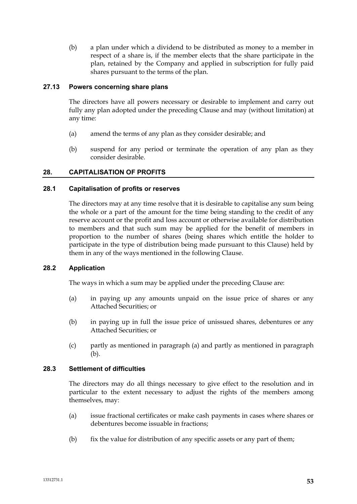(b) a plan under which a dividend to be distributed as money to a member in respect of a share is, if the member elects that the share participate in the plan, retained by the Company and applied in subscription for fully paid shares pursuant to the terms of the plan.

# **27.13 Powers concerning share plans**

The directors have all powers necessary or desirable to implement and carry out fully any plan adopted under the preceding Clause and may (without limitation) at any time:

- (a) amend the terms of any plan as they consider desirable; and
- (b) suspend for any period or terminate the operation of any plan as they consider desirable.

# **28. CAPITALISATION OF PROFITS**

# **28.1 Capitalisation of profits or reserves**

The directors may at any time resolve that it is desirable to capitalise any sum being the whole or a part of the amount for the time being standing to the credit of any reserve account or the profit and loss account or otherwise available for distribution to members and that such sum may be applied for the benefit of members in proportion to the number of shares (being shares which entitle the holder to participate in the type of distribution being made pursuant to this Clause) held by them in any of the ways mentioned in the following Clause.

# **28.2 Application**

The ways in which a sum may be applied under the preceding Clause are:

- (a) in paying up any amounts unpaid on the issue price of shares or any Attached Securities; or
- (b) in paying up in full the issue price of unissued shares, debentures or any Attached Securities; or
- (c) partly as mentioned in paragraph (a) and partly as mentioned in paragraph (b).

# **28.3 Settlement of difficulties**

The directors may do all things necessary to give effect to the resolution and in particular to the extent necessary to adjust the rights of the members among themselves, may:

- (a) issue fractional certificates or make cash payments in cases where shares or debentures become issuable in fractions;
- (b) fix the value for distribution of any specific assets or any part of them;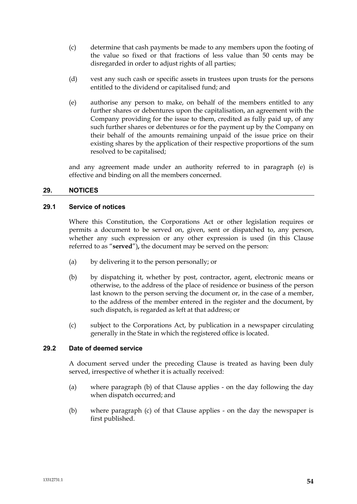- (c) determine that cash payments be made to any members upon the footing of the value so fixed or that fractions of less value than 50 cents may be disregarded in order to adjust rights of all parties;
- (d) vest any such cash or specific assets in trustees upon trusts for the persons entitled to the dividend or capitalised fund; and
- (e) authorise any person to make, on behalf of the members entitled to any further shares or debentures upon the capitalisation, an agreement with the Company providing for the issue to them, credited as fully paid up, of any such further shares or debentures or for the payment up by the Company on their behalf of the amounts remaining unpaid of the issue price on their existing shares by the application of their respective proportions of the sum resolved to be capitalised;

and any agreement made under an authority referred to in paragraph (e) is effective and binding on all the members concerned.

# **29. NOTICES**

#### **29.1 Service of notices**

Where this Constitution, the Corporations Act or other legislation requires or permits a document to be served on, given, sent or dispatched to, any person, whether any such expression or any other expression is used (in this Clause referred to as "**served**")**,** the document may be served on the person:

- (a) by delivering it to the person personally; or
- (b) by dispatching it, whether by post, contractor, agent, electronic means or otherwise, to the address of the place of residence or business of the person last known to the person serving the document or, in the case of a member, to the address of the member entered in the register and the document, by such dispatch, is regarded as left at that address; or
- (c) subject to the Corporations Act, by publication in a newspaper circulating generally in the State in which the registered office is located.

#### **29.2 Date of deemed service**

A document served under the preceding Clause is treated as having been duly served, irrespective of whether it is actually received:

- (a) where paragraph (b) of that Clause applies on the day following the day when dispatch occurred; and
- (b) where paragraph (c) of that Clause applies on the day the newspaper is first published.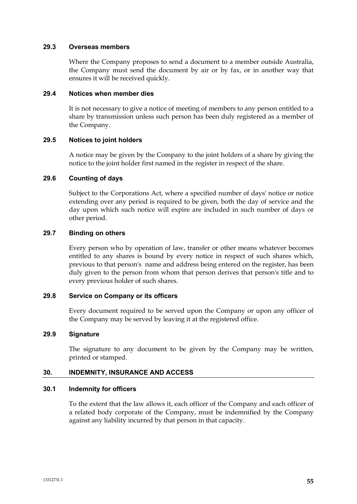#### **29.3 Overseas members**

Where the Company proposes to send a document to a member outside Australia, the Company must send the document by air or by fax, or in another way that ensures it will be received quickly.

### **29.4 Notices when member dies**

It is not necessary to give a notice of meeting of members to any person entitled to a share by transmission unless such person has been duly registered as a member of the Company.

# **29.5 Notices to joint holders**

A notice may be given by the Company to the joint holders of a share by giving the notice to the joint holder first named in the register in respect of the share.

### **29.6 Counting of days**

Subject to the Corporations Act, where a specified number of days' notice or notice extending over any period is required to be given, both the day of service and the day upon which such notice will expire are included in such number of days or other period.

### **29.7 Binding on others**

Every person who by operation of law, transfer or other means whatever becomes entitled to any shares is bound by every notice in respect of such shares which, previous to that person's name and address being entered on the register, has been duly given to the person from whom that person derives that person's title and to every previous holder of such shares.

### **29.8 Service on Company or its officers**

Every document required to be served upon the Company or upon any officer of the Company may be served by leaving it at the registered office.

# **29.9 Signature**

The signature to any document to be given by the Company may be written, printed or stamped.

# **30. INDEMNITY, INSURANCE AND ACCESS**

#### **30.1 Indemnity for officers**

To the extent that the law allows it, each officer of the Company and each officer of a related body corporate of the Company, must be indemnified by the Company against any liability incurred by that person in that capacity.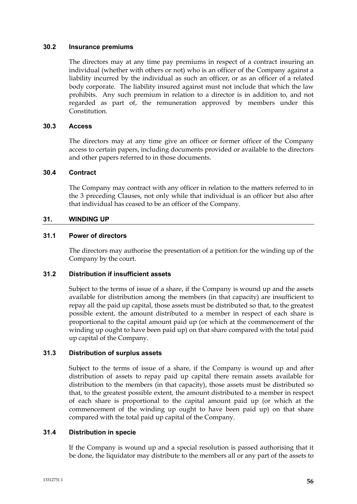### **30.2 Insurance premiums**

The directors may at any time pay premiums in respect of a contract insuring an individual (whether with others or not) who is an officer of the Company against a liability incurred by the individual as such an officer, or as an officer of a related body corporate. The liability insured against must not include that which the law prohibits. Any such premium in relation to a director is in addition to, and not regarded as part of, the remuneration approved by members under this Constitution.

# **30.3 Access**

The directors may at any time give an officer or former officer of the Company access to certain papers, including documents provided or available to the directors and other papers referred to in those documents.

### **30.4 Contract**

The Company may contract with any officer in relation to the matters referred to in the 3 preceding Clauses, not only while that individual is an officer but also after that individual has ceased to be an officer of the Company.

# **31. WINDING UP**

### **31.1 Power of directors**

The directors may authorise the presentation of a petition for the winding up of the Company by the court.

### **31.2 Distribution if insufficient assets**

Subject to the terms of issue of a share, if the Company is wound up and the assets available for distribution among the members (in that capacity) are insufficient to repay all the paid up capital, those assets must be distributed so that, to the greatest possible extent, the amount distributed to a member in respect of each share is proportional to the capital amount paid up (or which at the commencement of the winding up ought to have been paid up) on that share compared with the total paid up capital of the Company.

# **31.3 Distribution of surplus assets**

Subject to the terms of issue of a share, if the Company is wound up and after distribution of assets to repay paid up capital there remain assets available for distribution to the members (in that capacity), those assets must be distributed so that, to the greatest possible extent, the amount distributed to a member in respect of each share is proportional to the capital amount paid up (or which at the commencement of the winding up ought to have been paid up) on that share compared with the total paid up capital of the Company.

# **31.4 Distribution in specie**

If the Company is wound up and a special resolution is passed authorising that it be done, the liquidator may distribute to the members all or any part of the assets to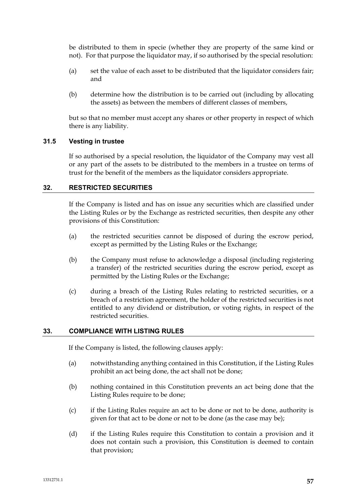be distributed to them in specie (whether they are property of the same kind or not). For that purpose the liquidator may, if so authorised by the special resolution:

- (a) set the value of each asset to be distributed that the liquidator considers fair; and
- (b) determine how the distribution is to be carried out (including by allocating the assets) as between the members of different classes of members,

but so that no member must accept any shares or other property in respect of which there is any liability.

# **31.5 Vesting in trustee**

If so authorised by a special resolution, the liquidator of the Company may vest all or any part of the assets to be distributed to the members in a trustee on terms of trust for the benefit of the members as the liquidator considers appropriate.

# **32. RESTRICTED SECURITIES**

If the Company is listed and has on issue any securities which are classified under the Listing Rules or by the Exchange as restricted securities, then despite any other provisions of this Constitution:

- (a) the restricted securities cannot be disposed of during the escrow period, except as permitted by the Listing Rules or the Exchange;
- (b) the Company must refuse to acknowledge a disposal (including registering a transfer) of the restricted securities during the escrow period, except as permitted by the Listing Rules or the Exchange;
- (c) during a breach of the Listing Rules relating to restricted securities, or a breach of a restriction agreement, the holder of the restricted securities is not entitled to any dividend or distribution, or voting rights, in respect of the restricted securities.

# **33. COMPLIANCE WITH LISTING RULES**

If the Company is listed, the following clauses apply:

- (a) notwithstanding anything contained in this Constitution, if the Listing Rules prohibit an act being done, the act shall not be done;
- (b) nothing contained in this Constitution prevents an act being done that the Listing Rules require to be done;
- (c) if the Listing Rules require an act to be done or not to be done, authority is given for that act to be done or not to be done (as the case may be);
- (d) if the Listing Rules require this Constitution to contain a provision and it does not contain such a provision, this Constitution is deemed to contain that provision;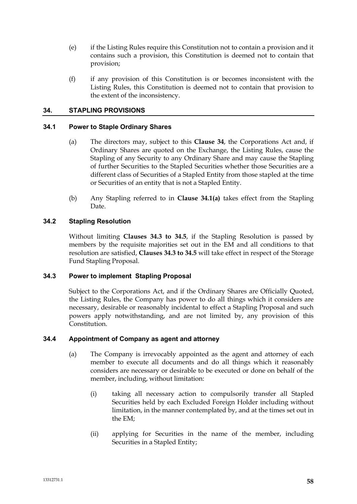- (e) if the Listing Rules require this Constitution not to contain a provision and it contains such a provision, this Constitution is deemed not to contain that provision;
- (f) if any provision of this Constitution is or becomes inconsistent with the Listing Rules, this Constitution is deemed not to contain that provision to the extent of the inconsistency.

# **34. STAPLING PROVISIONS**

# **34.1 Power to Staple Ordinary Shares**

- (a) The directors may, subject to this **Clause 34**, the Corporations Act and, if Ordinary Shares are quoted on the Exchange, the Listing Rules, cause the Stapling of any Security to any Ordinary Share and may cause the Stapling of further Securities to the Stapled Securities whether those Securities are a different class of Securities of a Stapled Entity from those stapled at the time or Securities of an entity that is not a Stapled Entity.
- (b) Any Stapling referred to in **Clause 34.1(a)** takes effect from the Stapling Date.

### **34.2 Stapling Resolution**

Without limiting **Clauses 34.3 to 34.5**, if the Stapling Resolution is passed by members by the requisite majorities set out in the EM and all conditions to that resolution are satisfied, **Clauses 34.3 to 34.5** will take effect in respect of the Storage Fund Stapling Proposal.

# **34.3 Power to implement Stapling Proposal**

Subject to the Corporations Act, and if the Ordinary Shares are Officially Quoted, the Listing Rules, the Company has power to do all things which it considers are necessary, desirable or reasonably incidental to effect a Stapling Proposal and such powers apply notwithstanding, and are not limited by, any provision of this Constitution.

### **34.4 Appointment of Company as agent and attorney**

- (a) The Company is irrevocably appointed as the agent and attorney of each member to execute all documents and do all things which it reasonably considers are necessary or desirable to be executed or done on behalf of the member, including, without limitation:
	- (i) taking all necessary action to compulsorily transfer all Stapled Securities held by each Excluded Foreign Holder including without limitation, in the manner contemplated by, and at the times set out in the EM;
	- (ii) applying for Securities in the name of the member, including Securities in a Stapled Entity;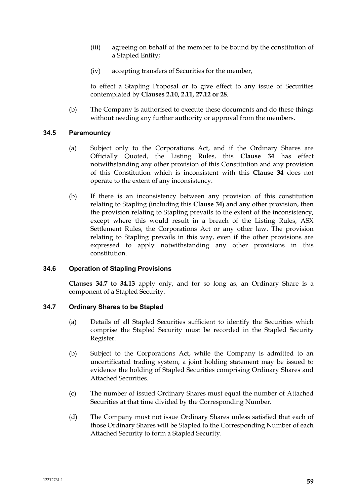- (iii) agreeing on behalf of the member to be bound by the constitution of a Stapled Entity;
- (iv) accepting transfers of Securities for the member,

to effect a Stapling Proposal or to give effect to any issue of Securities contemplated by **Clauses 2.10, 2.11, 27.12 or 28**.

(b) The Company is authorised to execute these documents and do these things without needing any further authority or approval from the members.

### **34.5 Paramountcy**

- (a) Subject only to the Corporations Act, and if the Ordinary Shares are Officially Quoted, the Listing Rules, this **Clause 34** has effect notwithstanding any other provision of this Constitution and any provision of this Constitution which is inconsistent with this **Clause 34** does not operate to the extent of any inconsistency.
- (b) If there is an inconsistency between any provision of this constitution relating to Stapling (including this **Clause 34**) and any other provision, then the provision relating to Stapling prevails to the extent of the inconsistency, except where this would result in a breach of the Listing Rules, ASX Settlement Rules, the Corporations Act or any other law. The provision relating to Stapling prevails in this way, even if the other provisions are expressed to apply notwithstanding any other provisions in this constitution.

#### **34.6 Operation of Stapling Provisions**

**Clauses 34.7 to 34.13** apply only, and for so long as, an Ordinary Share is a component of a Stapled Security.

### **34.7 Ordinary Shares to be Stapled**

- (a) Details of all Stapled Securities sufficient to identify the Securities which comprise the Stapled Security must be recorded in the Stapled Security Register.
- (b) Subject to the Corporations Act, while the Company is admitted to an uncertificated trading system, a joint holding statement may be issued to evidence the holding of Stapled Securities comprising Ordinary Shares and Attached Securities.
- (c) The number of issued Ordinary Shares must equal the number of Attached Securities at that time divided by the Corresponding Number.
- (d) The Company must not issue Ordinary Shares unless satisfied that each of those Ordinary Shares will be Stapled to the Corresponding Number of each Attached Security to form a Stapled Security.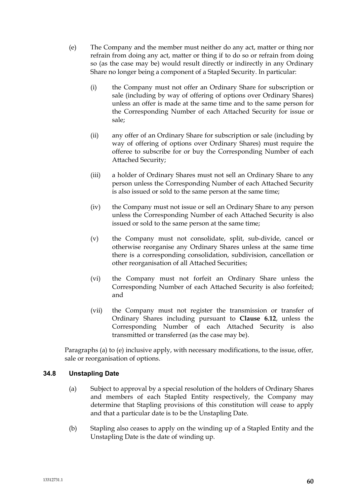- (e) The Company and the member must neither do any act, matter or thing nor refrain from doing any act, matter or thing if to do so or refrain from doing so (as the case may be) would result directly or indirectly in any Ordinary Share no longer being a component of a Stapled Security. In particular:
	- (i) the Company must not offer an Ordinary Share for subscription or sale (including by way of offering of options over Ordinary Shares) unless an offer is made at the same time and to the same person for the Corresponding Number of each Attached Security for issue or sale;
	- (ii) any offer of an Ordinary Share for subscription or sale (including by way of offering of options over Ordinary Shares) must require the offeree to subscribe for or buy the Corresponding Number of each Attached Security;
	- (iii) a holder of Ordinary Shares must not sell an Ordinary Share to any person unless the Corresponding Number of each Attached Security is also issued or sold to the same person at the same time;
	- (iv) the Company must not issue or sell an Ordinary Share to any person unless the Corresponding Number of each Attached Security is also issued or sold to the same person at the same time;
	- (v) the Company must not consolidate, split, sub-divide, cancel or otherwise reorganise any Ordinary Shares unless at the same time there is a corresponding consolidation, subdivision, cancellation or other reorganisation of all Attached Securities;
	- (vi) the Company must not forfeit an Ordinary Share unless the Corresponding Number of each Attached Security is also forfeited; and
	- (vii) the Company must not register the transmission or transfer of Ordinary Shares including pursuant to **Clause 6.12**, unless the Corresponding Number of each Attached Security is also transmitted or transferred (as the case may be).

Paragraphs (a) to (e) inclusive apply, with necessary modifications, to the issue, offer, sale or reorganisation of options.

# **34.8 Unstapling Date**

- (a) Subject to approval by a special resolution of the holders of Ordinary Shares and members of each Stapled Entity respectively, the Company may determine that Stapling provisions of this constitution will cease to apply and that a particular date is to be the Unstapling Date.
- (b) Stapling also ceases to apply on the winding up of a Stapled Entity and the Unstapling Date is the date of winding up.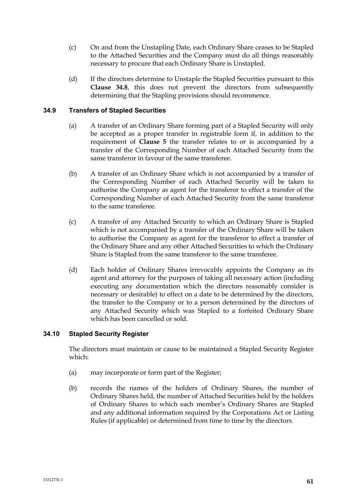- (c) On and from the Unstapling Date, each Ordinary Share ceases to be Stapled to the Attached Securities and the Company must do all things reasonably necessary to procure that each Ordinary Share is Unstapled.
- (d) If the directors determine to Unstaple the Stapled Securities pursuant to this **Clause 34.8**, this does not prevent the directors from subsequently determining that the Stapling provisions should recommence.

# **34.9 Transfers of Stapled Securities**

- (a) A transfer of an Ordinary Share forming part of a Stapled Security will only be accepted as a proper transfer in registrable form if, in addition to the requirement of **Clause 5** the transfer relates to or is accompanied by a transfer of the Corresponding Number of each Attached Security from the same transferor in favour of the same transferee.
- (b) A transfer of an Ordinary Share which is not accompanied by a transfer of the Corresponding Number of each Attached Security will be taken to authorise the Company as agent for the transferor to effect a transfer of the Corresponding Number of each Attached Security from the same transferor to the same transferee.
- (c) A transfer of any Attached Security to which an Ordinary Share is Stapled which is not accompanied by a transfer of the Ordinary Share will be taken to authorise the Company as agent for the transferor to effect a transfer of the Ordinary Share and any other Attached Securities to which the Ordinary Share is Stapled from the same transferor to the same transferee.
- (d) Each holder of Ordinary Shares irrevocably appoints the Company as its agent and attorney for the purposes of taking all necessary action (including executing any documentation which the directors reasonably consider is necessary or desirable) to effect on a date to be determined by the directors, the transfer to the Company or to a person determined by the directors of any Attached Security which was Stapled to a forfeited Ordinary Share which has been cancelled or sold.

# **34.10 Stapled Security Register**

The directors must maintain or cause to be maintained a Stapled Security Register which:

- (a) may incorporate or form part of the Register;
- (b) records the names of the holders of Ordinary Shares, the number of Ordinary Shares held, the number of Attached Securities held by the holders of Ordinary Shares to which each member's Ordinary Shares are Stapled and any additional information required by the Corporations Act or Listing Rules (if applicable) or determined from time to time by the directors.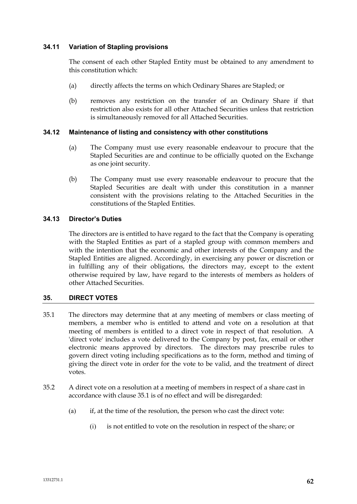# **34.11 Variation of Stapling provisions**

The consent of each other Stapled Entity must be obtained to any amendment to this constitution which:

- (a) directly affects the terms on which Ordinary Shares are Stapled; or
- (b) removes any restriction on the transfer of an Ordinary Share if that restriction also exists for all other Attached Securities unless that restriction is simultaneously removed for all Attached Securities.

### **34.12 Maintenance of listing and consistency with other constitutions**

- (a) The Company must use every reasonable endeavour to procure that the Stapled Securities are and continue to be officially quoted on the Exchange as one joint security.
- (b) The Company must use every reasonable endeavour to procure that the Stapled Securities are dealt with under this constitution in a manner consistent with the provisions relating to the Attached Securities in the constitutions of the Stapled Entities.

### **34.13 Director's Duties**

The directors are is entitled to have regard to the fact that the Company is operating with the Stapled Entities as part of a stapled group with common members and with the intention that the economic and other interests of the Company and the Stapled Entities are aligned. Accordingly, in exercising any power or discretion or in fulfilling any of their obligations, the directors may, except to the extent otherwise required by law, have regard to the interests of members as holders of other Attached Securities.

# **35. DIRECT VOTES**

- 35.1 The directors may determine that at any meeting of members or class meeting of members, a member who is entitled to attend and vote on a resolution at that meeting of members is entitled to a direct vote in respect of that resolution. A 'direct vote' includes a vote delivered to the Company by post, fax, email or other electronic means approved by directors. The directors may prescribe rules to govern direct voting including specifications as to the form, method and timing of giving the direct vote in order for the vote to be valid, and the treatment of direct votes.
- 35.2 A direct vote on a resolution at a meeting of members in respect of a share cast in accordance with clause 35.1 is of no effect and will be disregarded:
	- (a) if, at the time of the resolution, the person who cast the direct vote:
		- (i) is not entitled to vote on the resolution in respect of the share; or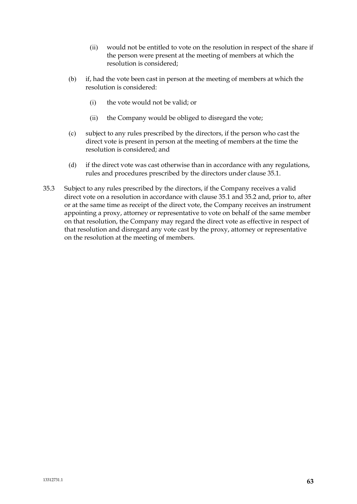- (ii) would not be entitled to vote on the resolution in respect of the share if the person were present at the meeting of members at which the resolution is considered;
- (b) if, had the vote been cast in person at the meeting of members at which the resolution is considered:
	- (i) the vote would not be valid; or
	- (ii) the Company would be obliged to disregard the vote;
- (c) subject to any rules prescribed by the directors, if the person who cast the direct vote is present in person at the meeting of members at the time the resolution is considered; and
- (d) if the direct vote was cast otherwise than in accordance with any regulations, rules and procedures prescribed by the directors under clause 35.1.
- 35.3 Subject to any rules prescribed by the directors, if the Company receives a valid direct vote on a resolution in accordance with clause 35.1 and 35.2 and, prior to, after or at the same time as receipt of the direct vote, the Company receives an instrument appointing a proxy, attorney or representative to vote on behalf of the same member on that resolution, the Company may regard the direct vote as effective in respect of that resolution and disregard any vote cast by the proxy, attorney or representative on the resolution at the meeting of members.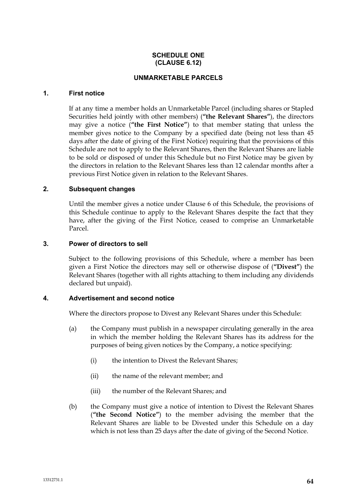### **SCHEDULE ONE (CLAUSE 6.12)**

### **UNMARKETABLE PARCELS**

### **1. First notice**

If at any time a member holds an Unmarketable Parcel (including shares or Stapled Securities held jointly with other members) (**"the Relevant Shares"**), the directors may give a notice (**"the First Notice"**) to that member stating that unless the member gives notice to the Company by a specified date (being not less than 45 days after the date of giving of the First Notice) requiring that the provisions of this Schedule are not to apply to the Relevant Shares, then the Relevant Shares are liable to be sold or disposed of under this Schedule but no First Notice may be given by the directors in relation to the Relevant Shares less than 12 calendar months after a previous First Notice given in relation to the Relevant Shares.

### **2. Subsequent changes**

Until the member gives a notice under Clause 6 of this Schedule, the provisions of this Schedule continue to apply to the Relevant Shares despite the fact that they have, after the giving of the First Notice, ceased to comprise an Unmarketable Parcel.

### **3. Power of directors to sell**

Subject to the following provisions of this Schedule, where a member has been given a First Notice the directors may sell or otherwise dispose of (**"Divest"**) the Relevant Shares (together with all rights attaching to them including any dividends declared but unpaid).

# **4. Advertisement and second notice**

Where the directors propose to Divest any Relevant Shares under this Schedule:

- (a) the Company must publish in a newspaper circulating generally in the area in which the member holding the Relevant Shares has its address for the purposes of being given notices by the Company, a notice specifying:
	- (i) the intention to Divest the Relevant Shares;
	- (ii) the name of the relevant member; and
	- (iii) the number of the Relevant Shares; and
- (b) the Company must give a notice of intention to Divest the Relevant Shares (**"the Second Notice"**) to the member advising the member that the Relevant Shares are liable to be Divested under this Schedule on a day which is not less than 25 days after the date of giving of the Second Notice.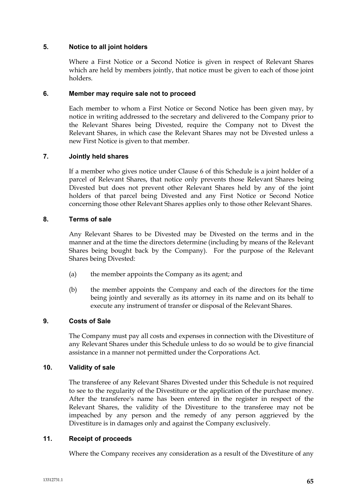### **5. Notice to all joint holders**

Where a First Notice or a Second Notice is given in respect of Relevant Shares which are held by members jointly, that notice must be given to each of those joint holders.

# **6. Member may require sale not to proceed**

Each member to whom a First Notice or Second Notice has been given may, by notice in writing addressed to the secretary and delivered to the Company prior to the Relevant Shares being Divested, require the Company not to Divest the Relevant Shares, in which case the Relevant Shares may not be Divested unless a new First Notice is given to that member.

# **7. Jointly held shares**

If a member who gives notice under Clause 6 of this Schedule is a joint holder of a parcel of Relevant Shares, that notice only prevents those Relevant Shares being Divested but does not prevent other Relevant Shares held by any of the joint holders of that parcel being Divested and any First Notice or Second Notice concerning those other Relevant Shares applies only to those other Relevant Shares.

# **8. Terms of sale**

Any Relevant Shares to be Divested may be Divested on the terms and in the manner and at the time the directors determine (including by means of the Relevant Shares being bought back by the Company). For the purpose of the Relevant Shares being Divested:

- (a) the member appoints the Company as its agent; and
- (b) the member appoints the Company and each of the directors for the time being jointly and severally as its attorney in its name and on its behalf to execute any instrument of transfer or disposal of the Relevant Shares.

# **9. Costs of Sale**

The Company must pay all costs and expenses in connection with the Divestiture of any Relevant Shares under this Schedule unless to do so would be to give financial assistance in a manner not permitted under the Corporations Act.

#### **10. Validity of sale**

The transferee of any Relevant Shares Divested under this Schedule is not required to see to the regularity of the Divestiture or the application of the purchase money. After the transferee's name has been entered in the register in respect of the Relevant Shares, the validity of the Divestiture to the transferee may not be impeached by any person and the remedy of any person aggrieved by the Divestiture is in damages only and against the Company exclusively.

#### **11. Receipt of proceeds**

Where the Company receives any consideration as a result of the Divestiture of any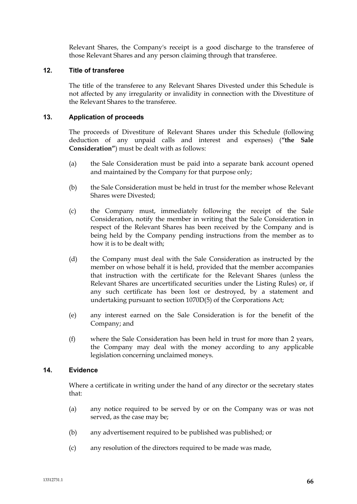Relevant Shares, the Company's receipt is a good discharge to the transferee of those Relevant Shares and any person claiming through that transferee.

# **12. Title of transferee**

The title of the transferee to any Relevant Shares Divested under this Schedule is not affected by any irregularity or invalidity in connection with the Divestiture of the Relevant Shares to the transferee.

### **13. Application of proceeds**

The proceeds of Divestiture of Relevant Shares under this Schedule (following deduction of any unpaid calls and interest and expenses) (**"the Sale Consideration"**) must be dealt with as follows:

- (a) the Sale Consideration must be paid into a separate bank account opened and maintained by the Company for that purpose only;
- (b) the Sale Consideration must be held in trust for the member whose Relevant Shares were Divested;
- (c) the Company must, immediately following the receipt of the Sale Consideration, notify the member in writing that the Sale Consideration in respect of the Relevant Shares has been received by the Company and is being held by the Company pending instructions from the member as to how it is to be dealt with;
- (d) the Company must deal with the Sale Consideration as instructed by the member on whose behalf it is held, provided that the member accompanies that instruction with the certificate for the Relevant Shares (unless the Relevant Shares are uncertificated securities under the Listing Rules) or, if any such certificate has been lost or destroyed, by a statement and undertaking pursuant to section 1070D(5) of the Corporations Act;
- (e) any interest earned on the Sale Consideration is for the benefit of the Company; and
- (f) where the Sale Consideration has been held in trust for more than 2 years, the Company may deal with the money according to any applicable legislation concerning unclaimed moneys.

# **14. Evidence**

Where a certificate in writing under the hand of any director or the secretary states that:

- (a) any notice required to be served by or on the Company was or was not served, as the case may be;
- (b) any advertisement required to be published was published; or
- (c) any resolution of the directors required to be made was made,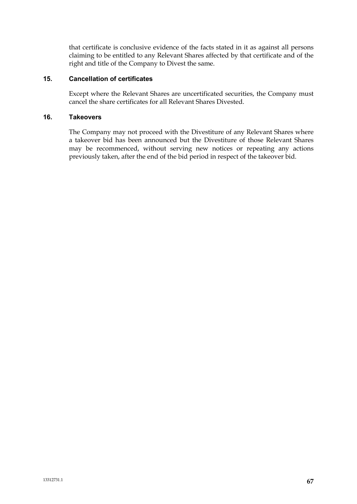that certificate is conclusive evidence of the facts stated in it as against all persons claiming to be entitled to any Relevant Shares affected by that certificate and of the right and title of the Company to Divest the same.

# **15. Cancellation of certificates**

Except where the Relevant Shares are uncertificated securities, the Company must cancel the share certificates for all Relevant Shares Divested.

# **16. Takeovers**

The Company may not proceed with the Divestiture of any Relevant Shares where a takeover bid has been announced but the Divestiture of those Relevant Shares may be recommenced, without serving new notices or repeating any actions previously taken, after the end of the bid period in respect of the takeover bid.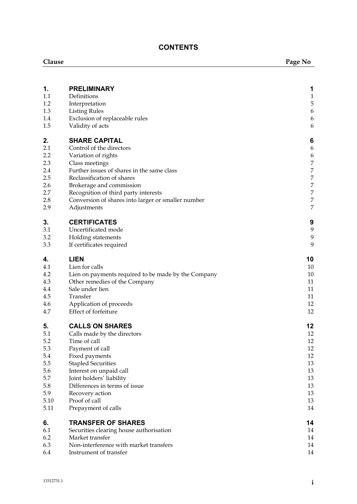# **CONTENTS**

| Clause     |                                                            | Page No          |
|------------|------------------------------------------------------------|------------------|
|            |                                                            |                  |
| 1.         | <b>PRELIMINARY</b>                                         | 1                |
| 1.1        | Definitions                                                | $\mathbf{1}$     |
| 1.2        | Interpretation                                             | $\mathbf 5$      |
| 1.3        | <b>Listing Rules</b>                                       | $\boldsymbol{6}$ |
| 1.4        | Exclusion of replaceable rules                             | 6                |
| 1.5        | Validity of acts                                           | 6                |
| 2.         | <b>SHARE CAPITAL</b>                                       | 6                |
| 2.1        | Control of the directors                                   | 6                |
| 2.2        | Variation of rights                                        | 6                |
| 2.3        | Class meetings                                             | 7                |
| 2.4        | Further issues of shares in the same class                 | $\boldsymbol{7}$ |
| 2.5        | Reclassification of shares                                 | 7                |
| 2.6        | Brokerage and commission                                   | 7                |
| 2.7        | Recognition of third party interests                       | 7                |
| 2.8        | Conversion of shares into larger or smaller number         | $\boldsymbol{7}$ |
| 2.9        | Adjustments                                                | 7                |
| 3.         | <b>CERTIFICATES</b>                                        | 9                |
| 3.1        | Uncertificated mode                                        | $\boldsymbol{9}$ |
| 3.2        | Holding statements                                         | 9                |
| 3.3        | If certificates required                                   | 9                |
| 4.         | <b>LIEN</b>                                                | 10               |
| 4.1        | Lien for calls                                             | 10               |
| 4.2        | Lien on payments required to be made by the Company        | 10               |
| 4.3        | Other remedies of the Company                              | 11               |
| 4.4        | Sale under lien                                            | 11               |
| 4.5        | Transfer                                                   | 11               |
| 4.6        | Application of proceeds                                    | 12               |
| 4.7        | Effect of forfeiture                                       | 12               |
| 5.         | <b>CALLS ON SHARES</b>                                     | 12               |
| 5.1        | Calls made by the directors                                | 12               |
| 5.2        | Time of call                                               | 12               |
| 5.3        | Payment of call                                            | 12               |
| 5.4        | Fixed payments                                             | 12               |
| 5.5        | <b>Stapled Securities</b>                                  | 13               |
| 5.6        | Interest on unpaid call                                    | 13               |
| 5.7        | Joint holders' liability                                   | 13               |
| 5.8<br>5.9 | Differences in terms of issue                              | 13<br>13         |
| 5.10       | Recovery action<br>Proof of call                           | 13               |
| 5.11       | Prepayment of calls                                        | 14               |
| 6.         | <b>TRANSFER OF SHARES</b>                                  | 14               |
| 6.1        |                                                            | 14               |
| 6.2        | Securities clearing house authorisation<br>Market transfer | 14               |
| 6.3        | Non-interference with market transfers                     | 14               |
| 6.4        | Instrument of transfer                                     | 14               |
|            |                                                            |                  |

J.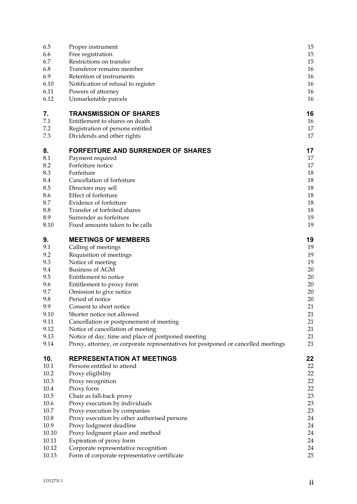| 6.5       | Proper instrument                                                                 | 15 |
|-----------|-----------------------------------------------------------------------------------|----|
| 6.6       | Free registration                                                                 | 15 |
| 6.7       | Restrictions on transfer                                                          | 15 |
| 6.8       | Transferor remains member                                                         | 16 |
| 6.9       | Retention of instruments                                                          | 16 |
| 6.10      | Notification of refusal to register                                               | 16 |
| 6.11      | Powers of attorney                                                                | 16 |
| 6.12      | Unmarketable parcels                                                              | 16 |
| 7.        | <b>TRANSMISSION OF SHARES</b>                                                     | 16 |
| 7.1       | Entitlement to shares on death                                                    | 16 |
| 7.2       | Registration of persons entitled                                                  | 17 |
| 7.3       | Dividends and other rights                                                        | 17 |
| 8.        | <b>FORFEITURE AND SURRENDER OF SHARES</b>                                         | 17 |
| $\rm 8.1$ | Payment required                                                                  | 17 |
| 8.2       | Forfeiture notice                                                                 | 17 |
| 8.3       | Forfeiture                                                                        | 18 |
| 8.4       | Cancellation of forfeiture                                                        | 18 |
| 8.5       | Directors may sell                                                                | 18 |
| 8.6       | Effect of forfeiture                                                              | 18 |
| 8.7       | Evidence of forfeiture                                                            | 18 |
| 8.8       | Transfer of forfeited shares                                                      | 18 |
| 8.9       | Surrender as forfeiture                                                           | 19 |
| 8.10      | Fixed amounts taken to be calls                                                   | 19 |
| 9.        | <b>MEETINGS OF MEMBERS</b>                                                        | 19 |
| 9.1       | Calling of meetings                                                               | 19 |
| 9.2       | Requisition of meetings                                                           | 19 |
| 9.3       | Notice of meeting                                                                 | 19 |
| 9.4       | <b>Business of AGM</b>                                                            | 20 |
| 9.5       | Entitlement to notice                                                             | 20 |
| 9.6       | Entitlement to proxy form                                                         | 20 |
| 9.7       | Omission to give notice                                                           | 20 |
| 9.8       | Period of notice                                                                  | 20 |
| 9.9       | Consent to short notice                                                           | 21 |
| 9.10      | Shorter notice not allowed                                                        | 21 |
| 9.11      | Cancellation or postponement of meeting                                           | 21 |
| 9.12      | Notice of cancellation of meeting                                                 | 21 |
| 9.13      | Notice of day, time and place of postponed meeting                                | 21 |
| 9.14      | Proxy, attorney, or corporate representatives for postponed or cancelled meetings | 21 |
| 10.       | <b>REPRESENTATION AT MEETINGS</b>                                                 | 22 |
| 10.1      | Persons entitled to attend                                                        | 22 |
| 10.2      | Proxy eligibility                                                                 | 22 |
| 10.3      | Proxy recognition                                                                 | 22 |
| 10.4      | Proxy form                                                                        | 22 |
| 10.5      | Chair as fall-back proxy                                                          | 23 |
| 10.6      | Proxy execution by individuals                                                    | 23 |
| 10.7      | Proxy execution by companies                                                      | 23 |
| 10.8      | Proxy execution by other authorised persons                                       | 24 |
| 10.9      | Proxy lodgment deadline                                                           | 24 |
| 10.10     | Proxy lodgment place and method                                                   | 24 |
| 10.11     | Expiration of proxy form                                                          | 24 |
| 10.12     | Corporate representative recognition                                              | 24 |
| 10.13     | Form of corporate representative certificate                                      | 25 |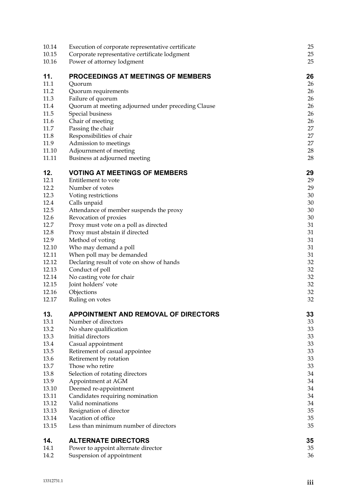| 10.14 | Execution of corporate representative certificate  | 25 |
|-------|----------------------------------------------------|----|
| 10.15 | Corporate representative certificate lodgment      | 25 |
| 10.16 | Power of attorney lodgment                         | 25 |
| 11.   | <b>PROCEEDINGS AT MEETINGS OF MEMBERS</b>          | 26 |
| 11.1  | Quorum                                             | 26 |
| 11.2  | Quorum requirements                                | 26 |
| 11.3  | Failure of quorum                                  | 26 |
| 11.4  | Quorum at meeting adjourned under preceding Clause | 26 |
| 11.5  | Special business                                   | 26 |
| 11.6  | Chair of meeting                                   | 26 |
| 11.7  | Passing the chair                                  | 27 |
| 11.8  | Responsibilities of chair                          | 27 |
| 11.9  | Admission to meetings                              | 27 |
| 11.10 | Adjournment of meeting                             | 28 |
| 11.11 | Business at adjourned meeting                      | 28 |
| 12.   | <b>VOTING AT MEETINGS OF MEMBERS</b>               | 29 |
| 12.1  | Entitlement to vote                                | 29 |
| 12.2  | Number of votes                                    | 29 |
| 12.3  | Voting restrictions                                | 30 |
| 12.4  | Calls unpaid                                       | 30 |
| 12.5  | Attendance of member suspends the proxy            | 30 |
| 12.6  | Revocation of proxies                              | 30 |
| 12.7  | Proxy must vote on a poll as directed              | 31 |
| 12.8  | Proxy must abstain if directed                     | 31 |
| 12.9  | Method of voting                                   | 31 |
| 12.10 | Who may demand a poll                              | 31 |
| 12.11 | When poll may be demanded                          | 31 |
| 12.12 | Declaring result of vote on show of hands          | 32 |
| 12.13 | Conduct of poll                                    | 32 |
| 12.14 | No casting vote for chair                          | 32 |
| 12.15 | Joint holders' vote                                | 32 |
| 12.16 | Objections                                         | 32 |
| 12.17 | Ruling on votes                                    | 32 |
| 13.   | <b>APPOINTMENT AND REMOVAL OF DIRECTORS</b>        | 33 |
| 13.1  | Number of directors                                | 33 |
| 13.2  | No share qualification                             | 33 |
| 13.3  | Initial directors                                  | 33 |
| 13.4  | Casual appointment                                 | 33 |
| 13.5  | Retirement of casual appointee                     | 33 |
| 13.6  | Retirement by rotation                             | 33 |
| 13.7  | Those who retire                                   | 33 |
| 13.8  | Selection of rotating directors                    | 34 |
| 13.9  | Appointment at AGM                                 | 34 |
| 13.10 | Deemed re-appointment                              | 34 |
| 13.11 | Candidates requiring nomination                    | 34 |
| 13.12 | Valid nominations                                  | 34 |
| 13.13 | Resignation of director                            | 35 |
| 13.14 | Vacation of office                                 | 35 |
| 13.15 | Less than minimum number of directors              | 35 |
| 14.   | <b>ALTERNATE DIRECTORS</b>                         | 35 |
| 14.1  | Power to appoint alternate director                | 35 |
| 14.2  | Suspension of appointment                          | 36 |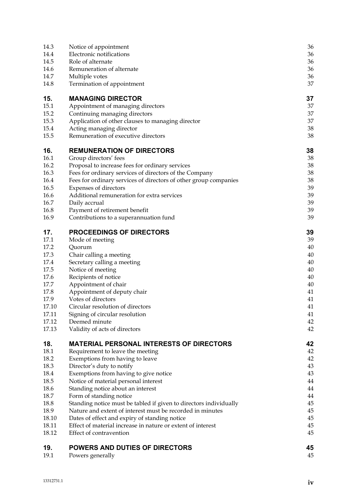| 19.<br>19.1    | POWERS AND DUTIES OF DIRECTORS<br>Powers generally                                                                         | 45<br>45 |
|----------------|----------------------------------------------------------------------------------------------------------------------------|----------|
|                | Effect of contravention                                                                                                    | 45       |
| 18.11<br>18.12 | Effect of material increase in nature or extent of interest                                                                | 45       |
| 18.10          | Dates of effect and expiry of standing notice                                                                              | 45       |
| 18.9           | Nature and extent of interest must be recorded in minutes                                                                  | 45       |
| 18.8           | Standing notice must be tabled if given to directors individually                                                          | 45       |
| 18.7           | Form of standing notice                                                                                                    | 44       |
| 18.6           | Standing notice about an interest                                                                                          | 44       |
| 18.5           | Notice of material personal interest                                                                                       | 44       |
| 18.4           | Exemptions from having to give notice                                                                                      | 43       |
| 18.3           | Director's duty to notify                                                                                                  | 43       |
| 18.2           | Exemptions from having to leave                                                                                            | 42       |
| 18.1           | Requirement to leave the meeting                                                                                           | 42       |
| 18.            | <b>MATERIAL PERSONAL INTERESTS OF DIRECTORS</b>                                                                            | 42       |
|                | Validity of acts of directors                                                                                              |          |
| 17.13          |                                                                                                                            | 42<br>42 |
| 17.11<br>17.12 | Signing of circular resolution<br>Deemed minute                                                                            | 41       |
| 17.10          | Circular resolution of directors                                                                                           | 41       |
| 17.9           | Votes of directors                                                                                                         | 41       |
| 17.8           | Appointment of deputy chair                                                                                                | 41       |
| 17.7           | Appointment of chair                                                                                                       | 40       |
| 17.6           | Recipients of notice                                                                                                       | 40       |
| 17.5           | Notice of meeting                                                                                                          | 40       |
| 17.4           | Secretary calling a meeting                                                                                                | 40       |
| 17.3           | Chair calling a meeting                                                                                                    | 40       |
| 17.2           | Quorum                                                                                                                     | 40       |
| 17.1           | Mode of meeting                                                                                                            | 39       |
| 17.            | <b>PROCEEDINGS OF DIRECTORS</b>                                                                                            | 39       |
|                |                                                                                                                            |          |
| 16.9           | Contributions to a superannuation fund                                                                                     | 39       |
| 16.8           | Payment of retirement benefit                                                                                              | 39       |
| 16.7           | Daily accrual                                                                                                              | 39       |
| 16.6           | Additional remuneration for extra services                                                                                 | 39       |
| 16.5           | Expenses of directors                                                                                                      | 39       |
| 16.4           | Fees for ordinary services of directors of the Company<br>Fees for ordinary services of directors of other group companies | 38       |
| 16.3           | Proposal to increase fees for ordinary services                                                                            | 38       |
| 16.2           | Group directors' fees                                                                                                      | 38       |
| 16.<br>16.1    | <b>REMUNERATION OF DIRECTORS</b>                                                                                           | 38<br>38 |
|                |                                                                                                                            |          |
| 15.5           | Remuneration of executive directors                                                                                        | 38       |
| 15.4           | Acting managing director                                                                                                   | 38       |
| 15.3           | Application of other clauses to managing director                                                                          | 37       |
| 15.2           | Continuing managing directors                                                                                              | 37       |
| 15.1           | Appointment of managing directors                                                                                          | 37       |
| 15.            | <b>MANAGING DIRECTOR</b>                                                                                                   | 37       |
|                |                                                                                                                            |          |
| 14.8           | Termination of appointment                                                                                                 | 37       |
| 14.7           | Multiple votes                                                                                                             | 36       |
| 14.6           | Remuneration of alternate                                                                                                  | 36       |
| 14.4<br>14.5   | Electronic notifications<br>Role of alternate                                                                              | 36<br>36 |
| 14.3           | Notice of appointment                                                                                                      | 36       |
|                |                                                                                                                            |          |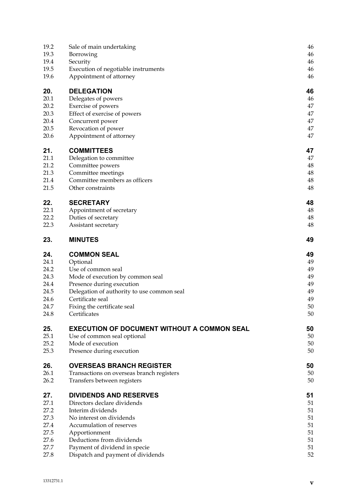| 19.2         | Sale of main undertaking                                                          | 46       |
|--------------|-----------------------------------------------------------------------------------|----------|
| 19.3         | Borrowing                                                                         | 46       |
| 19.4         | Security                                                                          | 46       |
| 19.5         | Execution of negotiable instruments                                               | 46       |
| 19.6         | Appointment of attorney                                                           | 46       |
| 20.          | <b>DELEGATION</b>                                                                 | 46       |
| 20.1         | Delegates of powers                                                               | 46       |
| 20.2         | Exercise of powers                                                                | 47       |
| 20.3         | Effect of exercise of powers                                                      | 47       |
| 20.4         | Concurrent power                                                                  | 47       |
| 20.5         | Revocation of power                                                               | 47       |
| 20.6         | Appointment of attorney                                                           | 47       |
| 21.          | <b>COMMITTEES</b>                                                                 | 47       |
| 21.1         | Delegation to committee                                                           | 47       |
| 21.2         | Committee powers                                                                  | 48       |
| 21.3         | Committee meetings                                                                | 48       |
| 21.4         | Committee members as officers                                                     | 48       |
| 21.5         | Other constraints                                                                 | 48       |
| 22.          | <b>SECRETARY</b>                                                                  | 48       |
| 22.1         | Appointment of secretary                                                          | 48       |
| 22.2         | Duties of secretary                                                               | 48       |
| 22.3         | Assistant secretary                                                               | 48       |
| 23.          | <b>MINUTES</b>                                                                    | 49       |
| 24.          | <b>COMMON SEAL</b>                                                                | 49       |
| 24.1         | Optional                                                                          | 49       |
| 24.2         | Use of common seal                                                                | 49       |
| 24.3         | Mode of execution by common seal                                                  | 49       |
| 24.4         | Presence during execution                                                         | 49       |
| 24.5         | Delegation of authority to use common seal                                        | 49       |
| 24.6         | Certificate seal                                                                  | 49<br>50 |
| 24.7<br>24.8 | Fixing the certificate seal<br>Certificates                                       | 50       |
|              |                                                                                   |          |
| 25.<br>25.1  | <b>EXECUTION OF DOCUMENT WITHOUT A COMMON SEAL</b><br>Use of common seal optional | 50<br>50 |
| 25.2         | Mode of execution                                                                 | 50       |
| 25.3         | Presence during execution                                                         | 50       |
| 26.          | <b>OVERSEAS BRANCH REGISTER</b>                                                   | 50       |
| 26.1         | Transactions on overseas branch registers                                         | 50       |
| 26.2         | Transfers between registers                                                       | 50       |
| 27.          | <b>DIVIDENDS AND RESERVES</b>                                                     | 51       |
| 27.1         | Directors declare dividends                                                       | 51       |
| 27.2         | Interim dividends                                                                 | 51       |
| 27.3         | No interest on dividends                                                          | 51       |
| 27.4         | Accumulation of reserves                                                          | 51       |
| 27.5         | Apportionment                                                                     | 51       |
| 27.6         | Deductions from dividends                                                         | 51       |
| 27.7         | Payment of dividend in specie                                                     | 51       |
| 27.8         | Dispatch and payment of dividends                                                 | 52       |